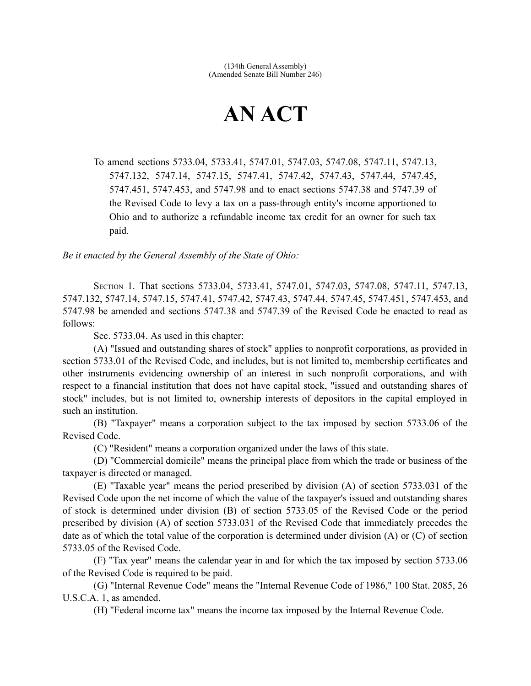## **AN ACT**

To amend sections 5733.04, 5733.41, 5747.01, 5747.03, 5747.08, 5747.11, 5747.13, 5747.132, 5747.14, 5747.15, 5747.41, 5747.42, 5747.43, 5747.44, 5747.45, 5747.451, 5747.453, and 5747.98 and to enact sections 5747.38 and 5747.39 of the Revised Code to levy a tax on a pass-through entity's income apportioned to Ohio and to authorize a refundable income tax credit for an owner for such tax paid.

*Be it enacted by the General Assembly of the State of Ohio:*

SECTION 1. That sections 5733.04, 5733.41, 5747.01, 5747.03, 5747.08, 5747.11, 5747.13, 5747.132, 5747.14, 5747.15, 5747.41, 5747.42, 5747.43, 5747.44, 5747.45, 5747.451, 5747.453, and 5747.98 be amended and sections 5747.38 and 5747.39 of the Revised Code be enacted to read as follows:

Sec. 5733.04. As used in this chapter:

(A) "Issued and outstanding shares of stock" applies to nonprofit corporations, as provided in section 5733.01 of the Revised Code, and includes, but is not limited to, membership certificates and other instruments evidencing ownership of an interest in such nonprofit corporations, and with respect to a financial institution that does not have capital stock, "issued and outstanding shares of stock" includes, but is not limited to, ownership interests of depositors in the capital employed in such an institution.

(B) "Taxpayer" means a corporation subject to the tax imposed by section 5733.06 of the Revised Code.

(C) "Resident" means a corporation organized under the laws of this state.

(D) "Commercial domicile" means the principal place from which the trade or business of the taxpayer is directed or managed.

(E) "Taxable year" means the period prescribed by division (A) of section 5733.031 of the Revised Code upon the net income of which the value of the taxpayer's issued and outstanding shares of stock is determined under division (B) of section 5733.05 of the Revised Code or the period prescribed by division (A) of section 5733.031 of the Revised Code that immediately precedes the date as of which the total value of the corporation is determined under division (A) or (C) of section 5733.05 of the Revised Code.

(F) "Tax year" means the calendar year in and for which the tax imposed by section 5733.06 of the Revised Code is required to be paid.

(G) "Internal Revenue Code" means the "Internal Revenue Code of 1986," 100 Stat. 2085, 26 U.S.C.A. 1, as amended.

(H) "Federal income tax" means the income tax imposed by the Internal Revenue Code.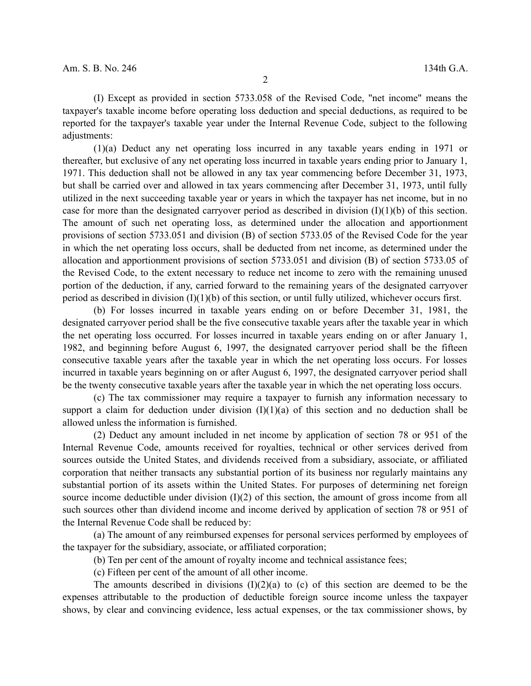(I) Except as provided in section 5733.058 of the Revised Code, "net income" means the taxpayer's taxable income before operating loss deduction and special deductions, as required to be reported for the taxpayer's taxable year under the Internal Revenue Code, subject to the following adjustments:

(1)(a) Deduct any net operating loss incurred in any taxable years ending in 1971 or thereafter, but exclusive of any net operating loss incurred in taxable years ending prior to January 1, 1971. This deduction shall not be allowed in any tax year commencing before December 31, 1973, but shall be carried over and allowed in tax years commencing after December 31, 1973, until fully utilized in the next succeeding taxable year or years in which the taxpayer has net income, but in no case for more than the designated carryover period as described in division (I)(1)(b) of this section. The amount of such net operating loss, as determined under the allocation and apportionment provisions of section 5733.051 and division (B) of section 5733.05 of the Revised Code for the year in which the net operating loss occurs, shall be deducted from net income, as determined under the allocation and apportionment provisions of section 5733.051 and division (B) of section 5733.05 of the Revised Code, to the extent necessary to reduce net income to zero with the remaining unused portion of the deduction, if any, carried forward to the remaining years of the designated carryover period as described in division (I)(1)(b) of this section, or until fully utilized, whichever occurs first.

(b) For losses incurred in taxable years ending on or before December 31, 1981, the designated carryover period shall be the five consecutive taxable years after the taxable year in which the net operating loss occurred. For losses incurred in taxable years ending on or after January 1, 1982, and beginning before August 6, 1997, the designated carryover period shall be the fifteen consecutive taxable years after the taxable year in which the net operating loss occurs. For losses incurred in taxable years beginning on or after August 6, 1997, the designated carryover period shall be the twenty consecutive taxable years after the taxable year in which the net operating loss occurs.

(c) The tax commissioner may require a taxpayer to furnish any information necessary to support a claim for deduction under division  $(I)(1)(a)$  of this section and no deduction shall be allowed unless the information is furnished.

(2) Deduct any amount included in net income by application of section 78 or 951 of the Internal Revenue Code, amounts received for royalties, technical or other services derived from sources outside the United States, and dividends received from a subsidiary, associate, or affiliated corporation that neither transacts any substantial portion of its business nor regularly maintains any substantial portion of its assets within the United States. For purposes of determining net foreign source income deductible under division  $(I)(2)$  of this section, the amount of gross income from all such sources other than dividend income and income derived by application of section 78 or 951 of the Internal Revenue Code shall be reduced by:

(a) The amount of any reimbursed expenses for personal services performed by employees of the taxpayer for the subsidiary, associate, or affiliated corporation;

(b) Ten per cent of the amount of royalty income and technical assistance fees;

(c) Fifteen per cent of the amount of all other income.

The amounts described in divisions  $(I)(2)(a)$  to (c) of this section are deemed to be the expenses attributable to the production of deductible foreign source income unless the taxpayer shows, by clear and convincing evidence, less actual expenses, or the tax commissioner shows, by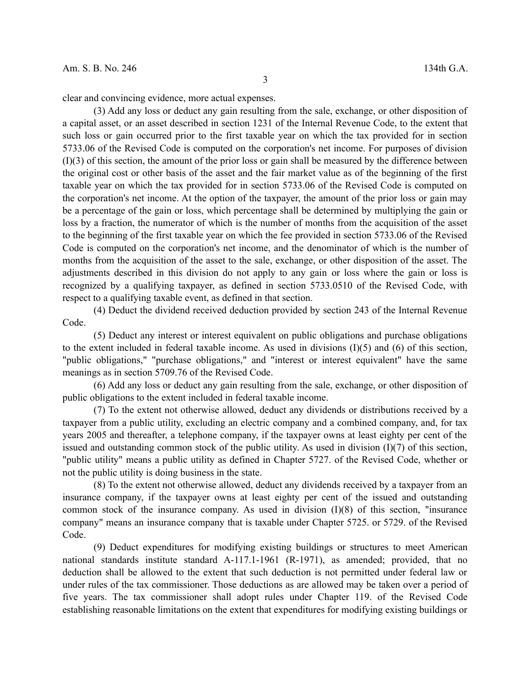clear and convincing evidence, more actual expenses.

(3) Add any loss or deduct any gain resulting from the sale, exchange, or other disposition of a capital asset, or an asset described in section 1231 of the Internal Revenue Code, to the extent that such loss or gain occurred prior to the first taxable year on which the tax provided for in section 5733.06 of the Revised Code is computed on the corporation's net income. For purposes of division (I)(3) of this section, the amount of the prior loss or gain shall be measured by the difference between the original cost or other basis of the asset and the fair market value as of the beginning of the first taxable year on which the tax provided for in section 5733.06 of the Revised Code is computed on the corporation's net income. At the option of the taxpayer, the amount of the prior loss or gain may be a percentage of the gain or loss, which percentage shall be determined by multiplying the gain or loss by a fraction, the numerator of which is the number of months from the acquisition of the asset to the beginning of the first taxable year on which the fee provided in section 5733.06 of the Revised Code is computed on the corporation's net income, and the denominator of which is the number of months from the acquisition of the asset to the sale, exchange, or other disposition of the asset. The adjustments described in this division do not apply to any gain or loss where the gain or loss is recognized by a qualifying taxpayer, as defined in section 5733.0510 of the Revised Code, with respect to a qualifying taxable event, as defined in that section.

(4) Deduct the dividend received deduction provided by section 243 of the Internal Revenue Code.

(5) Deduct any interest or interest equivalent on public obligations and purchase obligations to the extent included in federal taxable income. As used in divisions (I)(5) and (6) of this section, "public obligations," "purchase obligations," and "interest or interest equivalent" have the same meanings as in section 5709.76 of the Revised Code.

(6) Add any loss or deduct any gain resulting from the sale, exchange, or other disposition of public obligations to the extent included in federal taxable income.

(7) To the extent not otherwise allowed, deduct any dividends or distributions received by a taxpayer from a public utility, excluding an electric company and a combined company, and, for tax years 2005 and thereafter, a telephone company, if the taxpayer owns at least eighty per cent of the issued and outstanding common stock of the public utility. As used in division  $(I)(7)$  of this section, "public utility" means a public utility as defined in Chapter 5727. of the Revised Code, whether or not the public utility is doing business in the state.

(8) To the extent not otherwise allowed, deduct any dividends received by a taxpayer from an insurance company, if the taxpayer owns at least eighty per cent of the issued and outstanding common stock of the insurance company. As used in division (I)(8) of this section, "insurance company" means an insurance company that is taxable under Chapter 5725. or 5729. of the Revised Code.

(9) Deduct expenditures for modifying existing buildings or structures to meet American national standards institute standard A-117.1-1961 (R-1971), as amended; provided, that no deduction shall be allowed to the extent that such deduction is not permitted under federal law or under rules of the tax commissioner. Those deductions as are allowed may be taken over a period of five years. The tax commissioner shall adopt rules under Chapter 119. of the Revised Code establishing reasonable limitations on the extent that expenditures for modifying existing buildings or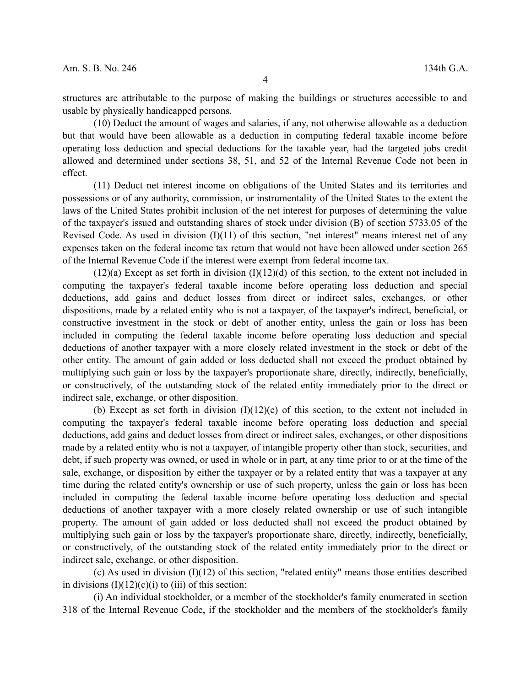structures are attributable to the purpose of making the buildings or structures accessible to and usable by physically handicapped persons.

(10) Deduct the amount of wages and salaries, if any, not otherwise allowable as a deduction but that would have been allowable as a deduction in computing federal taxable income before operating loss deduction and special deductions for the taxable year, had the targeted jobs credit allowed and determined under sections 38, 51, and 52 of the Internal Revenue Code not been in effect.

(11) Deduct net interest income on obligations of the United States and its territories and possessions or of any authority, commission, or instrumentality of the United States to the extent the laws of the United States prohibit inclusion of the net interest for purposes of determining the value of the taxpayer's issued and outstanding shares of stock under division (B) of section 5733.05 of the Revised Code. As used in division  $(I)(11)$  of this section, "net interest" means interest net of any expenses taken on the federal income tax return that would not have been allowed under section 265 of the Internal Revenue Code if the interest were exempt from federal income tax.

 $(12)(a)$  Except as set forth in division  $(1)(12)(d)$  of this section, to the extent not included in computing the taxpayer's federal taxable income before operating loss deduction and special deductions, add gains and deduct losses from direct or indirect sales, exchanges, or other dispositions, made by a related entity who is not a taxpayer, of the taxpayer's indirect, beneficial, or constructive investment in the stock or debt of another entity, unless the gain or loss has been included in computing the federal taxable income before operating loss deduction and special deductions of another taxpayer with a more closely related investment in the stock or debt of the other entity. The amount of gain added or loss deducted shall not exceed the product obtained by multiplying such gain or loss by the taxpayer's proportionate share, directly, indirectly, beneficially, or constructively, of the outstanding stock of the related entity immediately prior to the direct or indirect sale, exchange, or other disposition.

(b) Except as set forth in division (I)(12)(e) of this section, to the extent not included in computing the taxpayer's federal taxable income before operating loss deduction and special deductions, add gains and deduct losses from direct or indirect sales, exchanges, or other dispositions made by a related entity who is not a taxpayer, of intangible property other than stock, securities, and debt, if such property was owned, or used in whole or in part, at any time prior to or at the time of the sale, exchange, or disposition by either the taxpayer or by a related entity that was a taxpayer at any time during the related entity's ownership or use of such property, unless the gain or loss has been included in computing the federal taxable income before operating loss deduction and special deductions of another taxpayer with a more closely related ownership or use of such intangible property. The amount of gain added or loss deducted shall not exceed the product obtained by multiplying such gain or loss by the taxpayer's proportionate share, directly, indirectly, beneficially, or constructively, of the outstanding stock of the related entity immediately prior to the direct or indirect sale, exchange, or other disposition.

(c) As used in division  $(I)(12)$  of this section, "related entity" means those entities described in divisions  $(I)(12)(c)(i)$  to (iii) of this section:

(i) An individual stockholder, or a member of the stockholder's family enumerated in section 318 of the Internal Revenue Code, if the stockholder and the members of the stockholder's family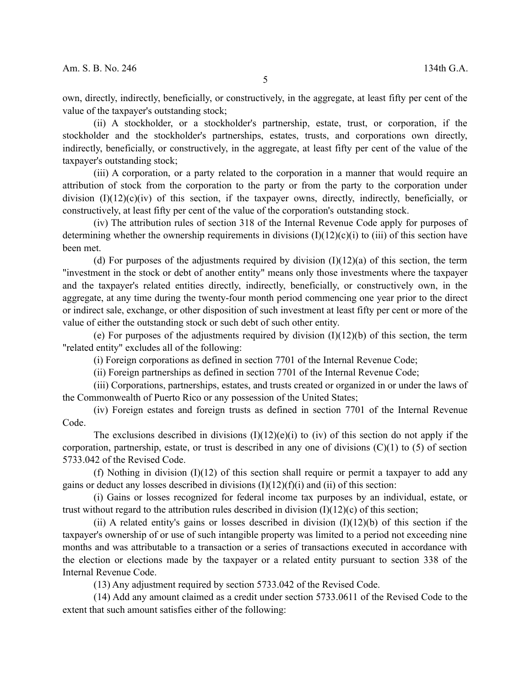own, directly, indirectly, beneficially, or constructively, in the aggregate, at least fifty per cent of the value of the taxpayer's outstanding stock;

(ii) A stockholder, or a stockholder's partnership, estate, trust, or corporation, if the stockholder and the stockholder's partnerships, estates, trusts, and corporations own directly, indirectly, beneficially, or constructively, in the aggregate, at least fifty per cent of the value of the taxpayer's outstanding stock;

(iii) A corporation, or a party related to the corporation in a manner that would require an attribution of stock from the corporation to the party or from the party to the corporation under division  $(I)(12)(c)(iv)$  of this section, if the taxpayer owns, directly, indirectly, beneficially, or constructively, at least fifty per cent of the value of the corporation's outstanding stock.

(iv) The attribution rules of section 318 of the Internal Revenue Code apply for purposes of determining whether the ownership requirements in divisions  $(I)(12)(c)(i)$  to (iii) of this section have been met.

(d) For purposes of the adjustments required by division  $(I)(12)(a)$  of this section, the term "investment in the stock or debt of another entity" means only those investments where the taxpayer and the taxpayer's related entities directly, indirectly, beneficially, or constructively own, in the aggregate, at any time during the twenty-four month period commencing one year prior to the direct or indirect sale, exchange, or other disposition of such investment at least fifty per cent or more of the value of either the outstanding stock or such debt of such other entity.

(e) For purposes of the adjustments required by division  $(I)(12)(b)$  of this section, the term "related entity" excludes all of the following:

(i) Foreign corporations as defined in section 7701 of the Internal Revenue Code;

(ii) Foreign partnerships as defined in section 7701 of the Internal Revenue Code;

(iii) Corporations, partnerships, estates, and trusts created or organized in or under the laws of the Commonwealth of Puerto Rico or any possession of the United States;

(iv) Foreign estates and foreign trusts as defined in section 7701 of the Internal Revenue Code.

The exclusions described in divisions  $(I)(12)(e)(i)$  to (iv) of this section do not apply if the corporation, partnership, estate, or trust is described in any one of divisions  $(C)(1)$  to  $(5)$  of section 5733.042 of the Revised Code.

(f) Nothing in division  $(I)(12)$  of this section shall require or permit a taxpayer to add any gains or deduct any losses described in divisions  $(I)(12)(f)(i)$  and  $(ii)$  of this section:

(i) Gains or losses recognized for federal income tax purposes by an individual, estate, or trust without regard to the attribution rules described in division  $(I)(12)(c)$  of this section;

(ii) A related entity's gains or losses described in division  $(I)(12)(b)$  of this section if the taxpayer's ownership of or use of such intangible property was limited to a period not exceeding nine months and was attributable to a transaction or a series of transactions executed in accordance with the election or elections made by the taxpayer or a related entity pursuant to section 338 of the Internal Revenue Code.

(13) Any adjustment required by section 5733.042 of the Revised Code.

(14) Add any amount claimed as a credit under section 5733.0611 of the Revised Code to the extent that such amount satisfies either of the following: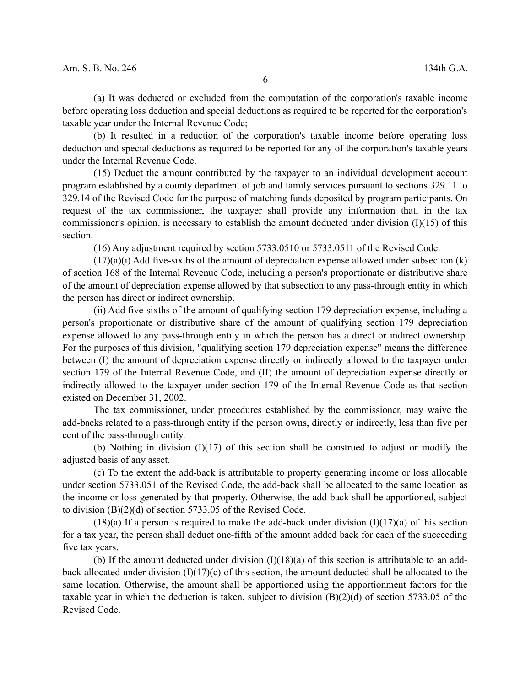(a) It was deducted or excluded from the computation of the corporation's taxable income before operating loss deduction and special deductions as required to be reported for the corporation's taxable year under the Internal Revenue Code;

(b) It resulted in a reduction of the corporation's taxable income before operating loss deduction and special deductions as required to be reported for any of the corporation's taxable years under the Internal Revenue Code.

(15) Deduct the amount contributed by the taxpayer to an individual development account program established by a county department of job and family services pursuant to sections 329.11 to 329.14 of the Revised Code for the purpose of matching funds deposited by program participants. On request of the tax commissioner, the taxpayer shall provide any information that, in the tax commissioner's opinion, is necessary to establish the amount deducted under division (I)(15) of this section.

(16) Any adjustment required by section 5733.0510 or 5733.0511 of the Revised Code.

 $(17)(a)(i)$  Add five-sixths of the amount of depreciation expense allowed under subsection  $(k)$ of section 168 of the Internal Revenue Code, including a person's proportionate or distributive share of the amount of depreciation expense allowed by that subsection to any pass-through entity in which the person has direct or indirect ownership.

(ii) Add five-sixths of the amount of qualifying section 179 depreciation expense, including a person's proportionate or distributive share of the amount of qualifying section 179 depreciation expense allowed to any pass-through entity in which the person has a direct or indirect ownership. For the purposes of this division, "qualifying section 179 depreciation expense" means the difference between (I) the amount of depreciation expense directly or indirectly allowed to the taxpayer under section 179 of the Internal Revenue Code, and (II) the amount of depreciation expense directly or indirectly allowed to the taxpayer under section 179 of the Internal Revenue Code as that section existed on December 31, 2002.

The tax commissioner, under procedures established by the commissioner, may waive the add-backs related to a pass-through entity if the person owns, directly or indirectly, less than five per cent of the pass-through entity.

(b) Nothing in division (I)(17) of this section shall be construed to adjust or modify the adjusted basis of any asset.

(c) To the extent the add-back is attributable to property generating income or loss allocable under section 5733.051 of the Revised Code, the add-back shall be allocated to the same location as the income or loss generated by that property. Otherwise, the add-back shall be apportioned, subject to division (B)(2)(d) of section 5733.05 of the Revised Code.

 $(18)(a)$  If a person is required to make the add-back under division  $(1)(17)(a)$  of this section for a tax year, the person shall deduct one-fifth of the amount added back for each of the succeeding five tax years.

(b) If the amount deducted under division  $(I)(18)(a)$  of this section is attributable to an addback allocated under division  $(I)(17)(c)$  of this section, the amount deducted shall be allocated to the same location. Otherwise, the amount shall be apportioned using the apportionment factors for the taxable year in which the deduction is taken, subject to division (B)(2)(d) of section 5733.05 of the Revised Code.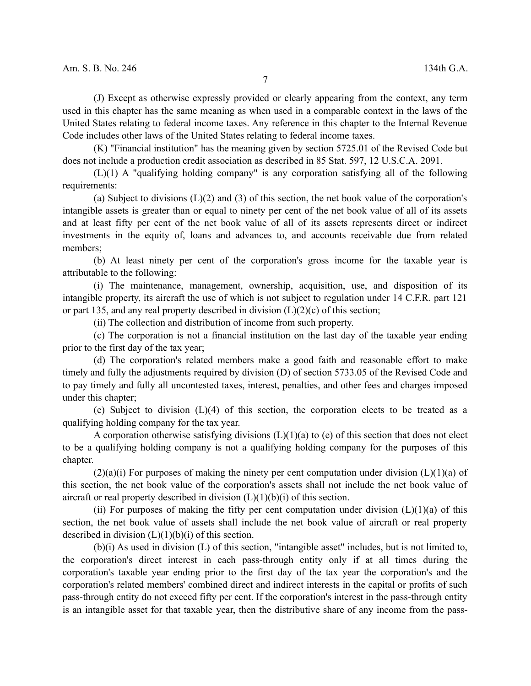(J) Except as otherwise expressly provided or clearly appearing from the context, any term used in this chapter has the same meaning as when used in a comparable context in the laws of the United States relating to federal income taxes. Any reference in this chapter to the Internal Revenue Code includes other laws of the United States relating to federal income taxes.

(K) "Financial institution" has the meaning given by section 5725.01 of the Revised Code but does not include a production credit association as described in 85 Stat. 597, 12 U.S.C.A. 2091.

(L)(1) A "qualifying holding company" is any corporation satisfying all of the following requirements:

(a) Subject to divisions  $(L)(2)$  and  $(3)$  of this section, the net book value of the corporation's intangible assets is greater than or equal to ninety per cent of the net book value of all of its assets and at least fifty per cent of the net book value of all of its assets represents direct or indirect investments in the equity of, loans and advances to, and accounts receivable due from related members;

(b) At least ninety per cent of the corporation's gross income for the taxable year is attributable to the following:

(i) The maintenance, management, ownership, acquisition, use, and disposition of its intangible property, its aircraft the use of which is not subject to regulation under 14 C.F.R. part 121 or part 135, and any real property described in division  $(L)(2)(c)$  of this section;

(ii) The collection and distribution of income from such property.

(c) The corporation is not a financial institution on the last day of the taxable year ending prior to the first day of the tax year;

(d) The corporation's related members make a good faith and reasonable effort to make timely and fully the adjustments required by division (D) of section 5733.05 of the Revised Code and to pay timely and fully all uncontested taxes, interest, penalties, and other fees and charges imposed under this chapter;

(e) Subject to division (L)(4) of this section, the corporation elects to be treated as a qualifying holding company for the tax year.

A corporation otherwise satisfying divisions  $(L)(1)(a)$  to (e) of this section that does not elect to be a qualifying holding company is not a qualifying holding company for the purposes of this chapter.

 $(2)(a)(i)$  For purposes of making the ninety per cent computation under division  $(L)(1)(a)$  of this section, the net book value of the corporation's assets shall not include the net book value of aircraft or real property described in division  $(L)(1)(b)(i)$  of this section.

(ii) For purposes of making the fifty per cent computation under division  $(L)(1)(a)$  of this section, the net book value of assets shall include the net book value of aircraft or real property described in division  $(L)(1)(b)(i)$  of this section.

(b)(i) As used in division (L) of this section, "intangible asset" includes, but is not limited to, the corporation's direct interest in each pass-through entity only if at all times during the corporation's taxable year ending prior to the first day of the tax year the corporation's and the corporation's related members' combined direct and indirect interests in the capital or profits of such pass-through entity do not exceed fifty per cent. If the corporation's interest in the pass-through entity is an intangible asset for that taxable year, then the distributive share of any income from the pass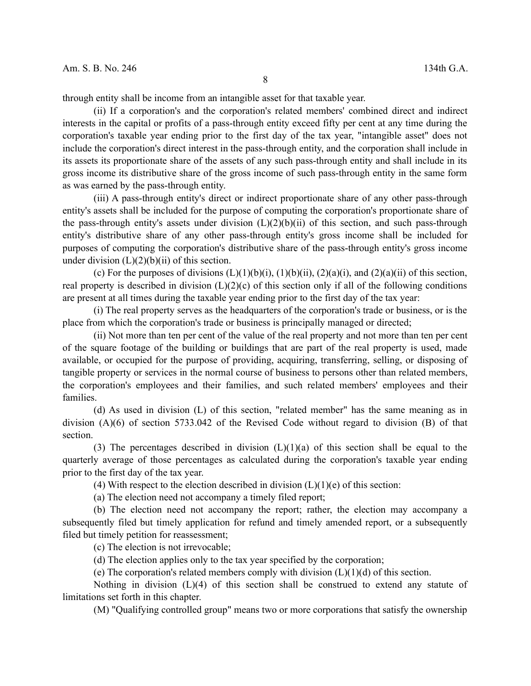through entity shall be income from an intangible asset for that taxable year.

(ii) If a corporation's and the corporation's related members' combined direct and indirect interests in the capital or profits of a pass-through entity exceed fifty per cent at any time during the corporation's taxable year ending prior to the first day of the tax year, "intangible asset" does not include the corporation's direct interest in the pass-through entity, and the corporation shall include in its assets its proportionate share of the assets of any such pass-through entity and shall include in its gross income its distributive share of the gross income of such pass-through entity in the same form as was earned by the pass-through entity.

(iii) A pass-through entity's direct or indirect proportionate share of any other pass-through entity's assets shall be included for the purpose of computing the corporation's proportionate share of the pass-through entity's assets under division  $(L)(2)(b)(ii)$  of this section, and such pass-through entity's distributive share of any other pass-through entity's gross income shall be included for purposes of computing the corporation's distributive share of the pass-through entity's gross income under division  $(L)(2)(b)(ii)$  of this section.

(c) For the purposes of divisions  $(L)(1)(b)(i)$ ,  $(1)(b)(ii)$ ,  $(2)(a)(i)$ , and  $(2)(a)(ii)$  of this section, real property is described in division  $(L)(2)(c)$  of this section only if all of the following conditions are present at all times during the taxable year ending prior to the first day of the tax year:

(i) The real property serves as the headquarters of the corporation's trade or business, or is the place from which the corporation's trade or business is principally managed or directed;

(ii) Not more than ten per cent of the value of the real property and not more than ten per cent of the square footage of the building or buildings that are part of the real property is used, made available, or occupied for the purpose of providing, acquiring, transferring, selling, or disposing of tangible property or services in the normal course of business to persons other than related members, the corporation's employees and their families, and such related members' employees and their families.

(d) As used in division (L) of this section, "related member" has the same meaning as in division (A)(6) of section 5733.042 of the Revised Code without regard to division (B) of that section.

(3) The percentages described in division  $(L)(1)(a)$  of this section shall be equal to the quarterly average of those percentages as calculated during the corporation's taxable year ending prior to the first day of the tax year.

(4) With respect to the election described in division  $(L)(1)(e)$  of this section:

(a) The election need not accompany a timely filed report;

(b) The election need not accompany the report; rather, the election may accompany a subsequently filed but timely application for refund and timely amended report, or a subsequently filed but timely petition for reassessment;

(c) The election is not irrevocable;

(d) The election applies only to the tax year specified by the corporation;

(e) The corporation's related members comply with division  $(L)(1)(d)$  of this section.

Nothing in division (L)(4) of this section shall be construed to extend any statute of limitations set forth in this chapter.

(M) "Qualifying controlled group" means two or more corporations that satisfy the ownership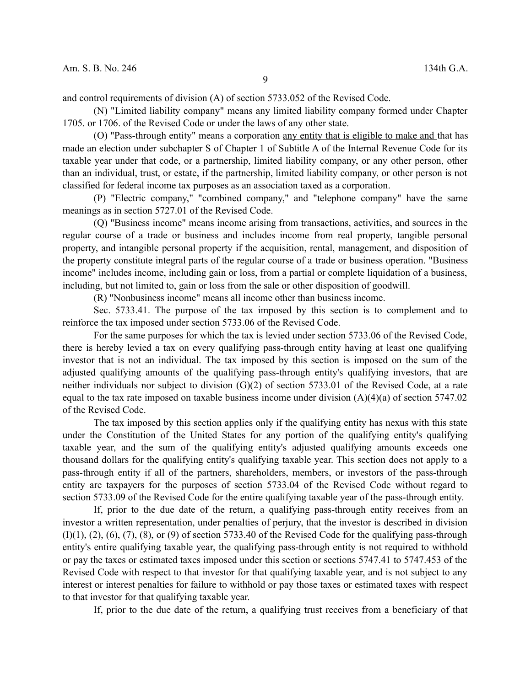and control requirements of division (A) of section 5733.052 of the Revised Code.

(N) "Limited liability company" means any limited liability company formed under Chapter 1705. or 1706. of the Revised Code or under the laws of any other state.

(O) "Pass-through entity" means a corporation any entity that is eligible to make and that has made an election under subchapter S of Chapter 1 of Subtitle A of the Internal Revenue Code for its taxable year under that code, or a partnership, limited liability company, or any other person, other than an individual, trust, or estate, if the partnership, limited liability company, or other person is not classified for federal income tax purposes as an association taxed as a corporation.

(P) "Electric company," "combined company," and "telephone company" have the same meanings as in section 5727.01 of the Revised Code.

(Q) "Business income" means income arising from transactions, activities, and sources in the regular course of a trade or business and includes income from real property, tangible personal property, and intangible personal property if the acquisition, rental, management, and disposition of the property constitute integral parts of the regular course of a trade or business operation. "Business income" includes income, including gain or loss, from a partial or complete liquidation of a business, including, but not limited to, gain or loss from the sale or other disposition of goodwill.

(R) "Nonbusiness income" means all income other than business income.

Sec. 5733.41. The purpose of the tax imposed by this section is to complement and to reinforce the tax imposed under section 5733.06 of the Revised Code.

For the same purposes for which the tax is levied under section 5733.06 of the Revised Code, there is hereby levied a tax on every qualifying pass-through entity having at least one qualifying investor that is not an individual. The tax imposed by this section is imposed on the sum of the adjusted qualifying amounts of the qualifying pass-through entity's qualifying investors, that are neither individuals nor subject to division (G)(2) of section 5733.01 of the Revised Code, at a rate equal to the tax rate imposed on taxable business income under division (A)(4)(a) of section 5747.02 of the Revised Code.

The tax imposed by this section applies only if the qualifying entity has nexus with this state under the Constitution of the United States for any portion of the qualifying entity's qualifying taxable year, and the sum of the qualifying entity's adjusted qualifying amounts exceeds one thousand dollars for the qualifying entity's qualifying taxable year. This section does not apply to a pass-through entity if all of the partners, shareholders, members, or investors of the pass-through entity are taxpayers for the purposes of section 5733.04 of the Revised Code without regard to section 5733.09 of the Revised Code for the entire qualifying taxable year of the pass-through entity.

If, prior to the due date of the return, a qualifying pass-through entity receives from an investor a written representation, under penalties of perjury, that the investor is described in division  $(1)(1)$ ,  $(2)$ ,  $(6)$ ,  $(7)$ ,  $(8)$ , or  $(9)$  of section 5733.40 of the Revised Code for the qualifying pass-through entity's entire qualifying taxable year, the qualifying pass-through entity is not required to withhold or pay the taxes or estimated taxes imposed under this section or sections 5747.41 to 5747.453 of the Revised Code with respect to that investor for that qualifying taxable year, and is not subject to any interest or interest penalties for failure to withhold or pay those taxes or estimated taxes with respect to that investor for that qualifying taxable year.

If, prior to the due date of the return, a qualifying trust receives from a beneficiary of that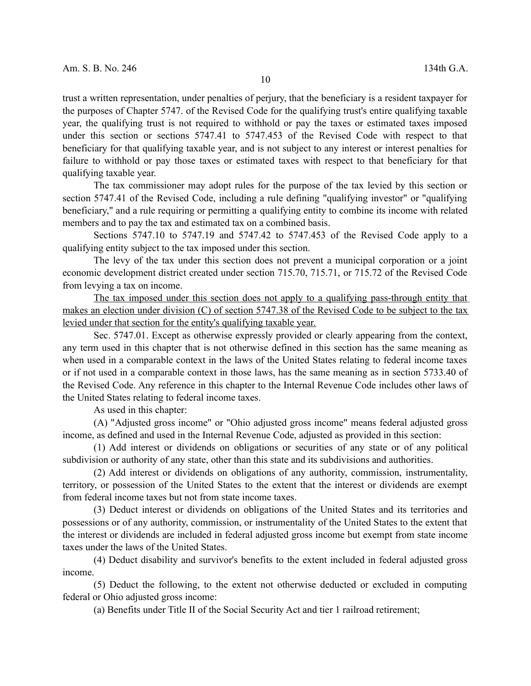trust a written representation, under penalties of perjury, that the beneficiary is a resident taxpayer for the purposes of Chapter 5747. of the Revised Code for the qualifying trust's entire qualifying taxable year, the qualifying trust is not required to withhold or pay the taxes or estimated taxes imposed under this section or sections 5747.41 to 5747.453 of the Revised Code with respect to that beneficiary for that qualifying taxable year, and is not subject to any interest or interest penalties for failure to withhold or pay those taxes or estimated taxes with respect to that beneficiary for that qualifying taxable year.

The tax commissioner may adopt rules for the purpose of the tax levied by this section or section 5747.41 of the Revised Code, including a rule defining "qualifying investor" or "qualifying beneficiary," and a rule requiring or permitting a qualifying entity to combine its income with related members and to pay the tax and estimated tax on a combined basis.

Sections 5747.10 to 5747.19 and 5747.42 to 5747.453 of the Revised Code apply to a qualifying entity subject to the tax imposed under this section.

The levy of the tax under this section does not prevent a municipal corporation or a joint economic development district created under section 715.70, 715.71, or 715.72 of the Revised Code from levying a tax on income.

The tax imposed under this section does not apply to a qualifying pass-through entity that makes an election under division (C) of section 5747.38 of the Revised Code to be subject to the tax levied under that section for the entity's qualifying taxable year.

Sec. 5747.01. Except as otherwise expressly provided or clearly appearing from the context, any term used in this chapter that is not otherwise defined in this section has the same meaning as when used in a comparable context in the laws of the United States relating to federal income taxes or if not used in a comparable context in those laws, has the same meaning as in section 5733.40 of the Revised Code. Any reference in this chapter to the Internal Revenue Code includes other laws of the United States relating to federal income taxes.

As used in this chapter:

(A) "Adjusted gross income" or "Ohio adjusted gross income" means federal adjusted gross income, as defined and used in the Internal Revenue Code, adjusted as provided in this section:

(1) Add interest or dividends on obligations or securities of any state or of any political subdivision or authority of any state, other than this state and its subdivisions and authorities.

(2) Add interest or dividends on obligations of any authority, commission, instrumentality, territory, or possession of the United States to the extent that the interest or dividends are exempt from federal income taxes but not from state income taxes.

(3) Deduct interest or dividends on obligations of the United States and its territories and possessions or of any authority, commission, or instrumentality of the United States to the extent that the interest or dividends are included in federal adjusted gross income but exempt from state income taxes under the laws of the United States.

(4) Deduct disability and survivor's benefits to the extent included in federal adjusted gross income.

(5) Deduct the following, to the extent not otherwise deducted or excluded in computing federal or Ohio adjusted gross income:

(a) Benefits under Title II of the Social Security Act and tier 1 railroad retirement;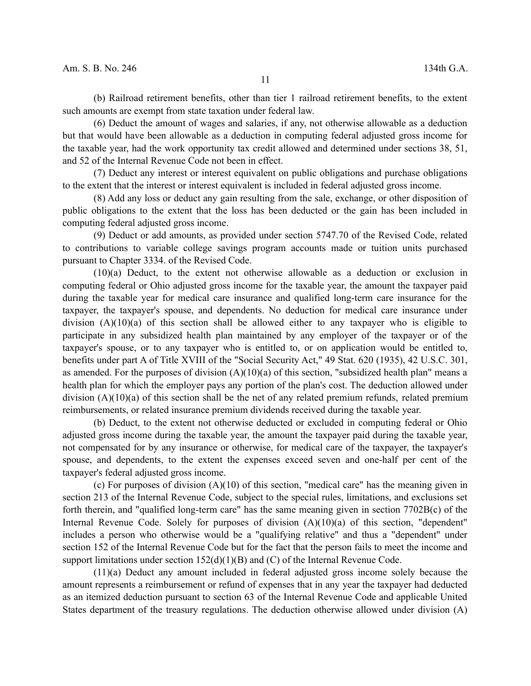(b) Railroad retirement benefits, other than tier 1 railroad retirement benefits, to the extent such amounts are exempt from state taxation under federal law.

(6) Deduct the amount of wages and salaries, if any, not otherwise allowable as a deduction but that would have been allowable as a deduction in computing federal adjusted gross income for the taxable year, had the work opportunity tax credit allowed and determined under sections 38, 51, and 52 of the Internal Revenue Code not been in effect.

(7) Deduct any interest or interest equivalent on public obligations and purchase obligations to the extent that the interest or interest equivalent is included in federal adjusted gross income.

(8) Add any loss or deduct any gain resulting from the sale, exchange, or other disposition of public obligations to the extent that the loss has been deducted or the gain has been included in computing federal adjusted gross income.

(9) Deduct or add amounts, as provided under section 5747.70 of the Revised Code, related to contributions to variable college savings program accounts made or tuition units purchased pursuant to Chapter 3334. of the Revised Code.

(10)(a) Deduct, to the extent not otherwise allowable as a deduction or exclusion in computing federal or Ohio adjusted gross income for the taxable year, the amount the taxpayer paid during the taxable year for medical care insurance and qualified long-term care insurance for the taxpayer, the taxpayer's spouse, and dependents. No deduction for medical care insurance under division  $(A)(10)(a)$  of this section shall be allowed either to any taxpayer who is eligible to participate in any subsidized health plan maintained by any employer of the taxpayer or of the taxpayer's spouse, or to any taxpayer who is entitled to, or on application would be entitled to, benefits under part A of Title XVIII of the "Social Security Act," 49 Stat. 620 (1935), 42 U.S.C. 301, as amended. For the purposes of division  $(A)(10)(a)$  of this section, "subsidized health plan" means a health plan for which the employer pays any portion of the plan's cost. The deduction allowed under division (A)(10)(a) of this section shall be the net of any related premium refunds, related premium reimbursements, or related insurance premium dividends received during the taxable year.

(b) Deduct, to the extent not otherwise deducted or excluded in computing federal or Ohio adjusted gross income during the taxable year, the amount the taxpayer paid during the taxable year, not compensated for by any insurance or otherwise, for medical care of the taxpayer, the taxpayer's spouse, and dependents, to the extent the expenses exceed seven and one-half per cent of the taxpayer's federal adjusted gross income.

(c) For purposes of division (A)(10) of this section, "medical care" has the meaning given in section 213 of the Internal Revenue Code, subject to the special rules, limitations, and exclusions set forth therein, and "qualified long-term care" has the same meaning given in section 7702B(c) of the Internal Revenue Code. Solely for purposes of division (A)(10)(a) of this section, "dependent" includes a person who otherwise would be a "qualifying relative" and thus a "dependent" under section 152 of the Internal Revenue Code but for the fact that the person fails to meet the income and support limitations under section  $152(d)(1)(B)$  and (C) of the Internal Revenue Code.

(11)(a) Deduct any amount included in federal adjusted gross income solely because the amount represents a reimbursement or refund of expenses that in any year the taxpayer had deducted as an itemized deduction pursuant to section 63 of the Internal Revenue Code and applicable United States department of the treasury regulations. The deduction otherwise allowed under division (A)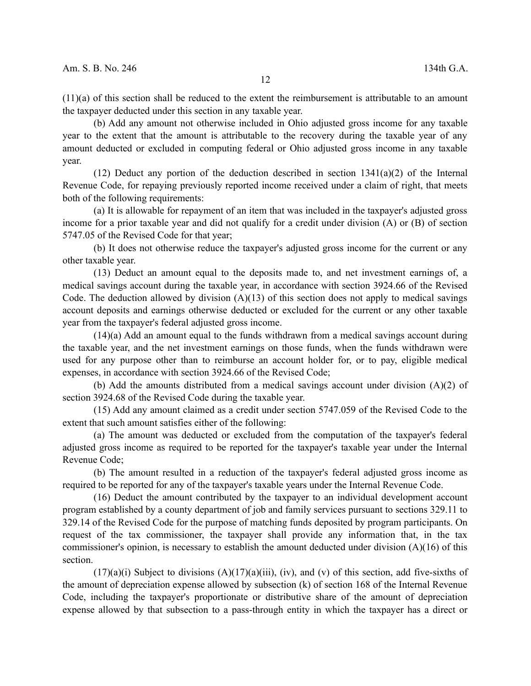(11)(a) of this section shall be reduced to the extent the reimbursement is attributable to an amount the taxpayer deducted under this section in any taxable year.

(b) Add any amount not otherwise included in Ohio adjusted gross income for any taxable year to the extent that the amount is attributable to the recovery during the taxable year of any amount deducted or excluded in computing federal or Ohio adjusted gross income in any taxable year.

(12) Deduct any portion of the deduction described in section  $1341(a)(2)$  of the Internal Revenue Code, for repaying previously reported income received under a claim of right, that meets both of the following requirements:

(a) It is allowable for repayment of an item that was included in the taxpayer's adjusted gross income for a prior taxable year and did not qualify for a credit under division (A) or (B) of section 5747.05 of the Revised Code for that year;

(b) It does not otherwise reduce the taxpayer's adjusted gross income for the current or any other taxable year.

(13) Deduct an amount equal to the deposits made to, and net investment earnings of, a medical savings account during the taxable year, in accordance with section 3924.66 of the Revised Code. The deduction allowed by division  $(A)(13)$  of this section does not apply to medical savings account deposits and earnings otherwise deducted or excluded for the current or any other taxable year from the taxpayer's federal adjusted gross income.

(14)(a) Add an amount equal to the funds withdrawn from a medical savings account during the taxable year, and the net investment earnings on those funds, when the funds withdrawn were used for any purpose other than to reimburse an account holder for, or to pay, eligible medical expenses, in accordance with section 3924.66 of the Revised Code;

(b) Add the amounts distributed from a medical savings account under division (A)(2) of section 3924.68 of the Revised Code during the taxable year.

(15) Add any amount claimed as a credit under section 5747.059 of the Revised Code to the extent that such amount satisfies either of the following:

(a) The amount was deducted or excluded from the computation of the taxpayer's federal adjusted gross income as required to be reported for the taxpayer's taxable year under the Internal Revenue Code;

(b) The amount resulted in a reduction of the taxpayer's federal adjusted gross income as required to be reported for any of the taxpayer's taxable years under the Internal Revenue Code.

(16) Deduct the amount contributed by the taxpayer to an individual development account program established by a county department of job and family services pursuant to sections 329.11 to 329.14 of the Revised Code for the purpose of matching funds deposited by program participants. On request of the tax commissioner, the taxpayer shall provide any information that, in the tax commissioner's opinion, is necessary to establish the amount deducted under division  $(A)(16)$  of this section.

 $(17)(a)(i)$  Subject to divisions  $(A)(17)(a)(iii)$ , (iv), and (v) of this section, add five-sixths of the amount of depreciation expense allowed by subsection (k) of section 168 of the Internal Revenue Code, including the taxpayer's proportionate or distributive share of the amount of depreciation expense allowed by that subsection to a pass-through entity in which the taxpayer has a direct or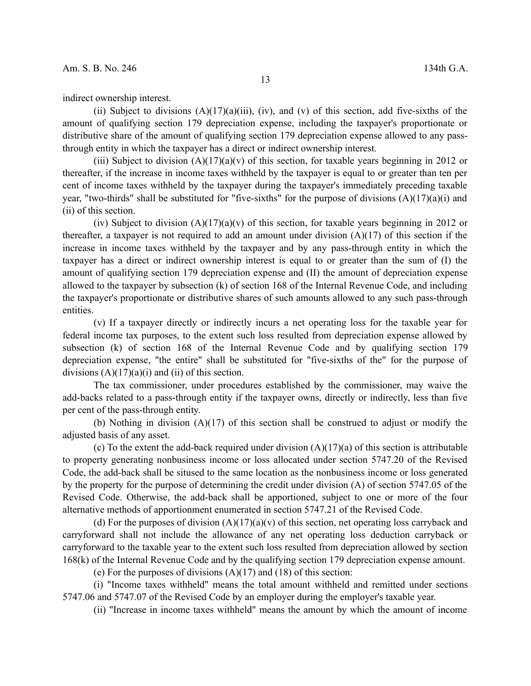indirect ownership interest.

(ii) Subject to divisions  $(A)(17)(a)(iii)$ , (iv), and (v) of this section, add five-sixths of the amount of qualifying section 179 depreciation expense, including the taxpayer's proportionate or distributive share of the amount of qualifying section 179 depreciation expense allowed to any passthrough entity in which the taxpayer has a direct or indirect ownership interest.

(iii) Subject to division  $(A)(17)(a)(v)$  of this section, for taxable years beginning in 2012 or thereafter, if the increase in income taxes withheld by the taxpayer is equal to or greater than ten per cent of income taxes withheld by the taxpayer during the taxpayer's immediately preceding taxable year, "two-thirds" shall be substituted for "five-sixths" for the purpose of divisions  $(A)(17)(a)(i)$  and (ii) of this section.

(iv) Subject to division  $(A)(17)(a)(v)$  of this section, for taxable years beginning in 2012 or thereafter, a taxpayer is not required to add an amount under division (A)(17) of this section if the increase in income taxes withheld by the taxpayer and by any pass-through entity in which the taxpayer has a direct or indirect ownership interest is equal to or greater than the sum of (I) the amount of qualifying section 179 depreciation expense and (II) the amount of depreciation expense allowed to the taxpayer by subsection (k) of section 168 of the Internal Revenue Code, and including the taxpayer's proportionate or distributive shares of such amounts allowed to any such pass-through entities.

(v) If a taxpayer directly or indirectly incurs a net operating loss for the taxable year for federal income tax purposes, to the extent such loss resulted from depreciation expense allowed by subsection (k) of section 168 of the Internal Revenue Code and by qualifying section 179 depreciation expense, "the entire" shall be substituted for "five-sixths of the" for the purpose of divisions  $(A)(17)(a)(i)$  and  $(ii)$  of this section.

The tax commissioner, under procedures established by the commissioner, may waive the add-backs related to a pass-through entity if the taxpayer owns, directly or indirectly, less than five per cent of the pass-through entity.

(b) Nothing in division (A)(17) of this section shall be construed to adjust or modify the adjusted basis of any asset.

(c) To the extent the add-back required under division  $(A)(17)(a)$  of this section is attributable to property generating nonbusiness income or loss allocated under section 5747.20 of the Revised Code, the add-back shall be sitused to the same location as the nonbusiness income or loss generated by the property for the purpose of determining the credit under division (A) of section 5747.05 of the Revised Code. Otherwise, the add-back shall be apportioned, subject to one or more of the four alternative methods of apportionment enumerated in section 5747.21 of the Revised Code.

(d) For the purposes of division  $(A)(17)(a)(v)$  of this section, net operating loss carryback and carryforward shall not include the allowance of any net operating loss deduction carryback or carryforward to the taxable year to the extent such loss resulted from depreciation allowed by section 168(k) of the Internal Revenue Code and by the qualifying section 179 depreciation expense amount.

(e) For the purposes of divisions  $(A)(17)$  and  $(18)$  of this section:

(i) "Income taxes withheld" means the total amount withheld and remitted under sections 5747.06 and 5747.07 of the Revised Code by an employer during the employer's taxable year.

(ii) "Increase in income taxes withheld" means the amount by which the amount of income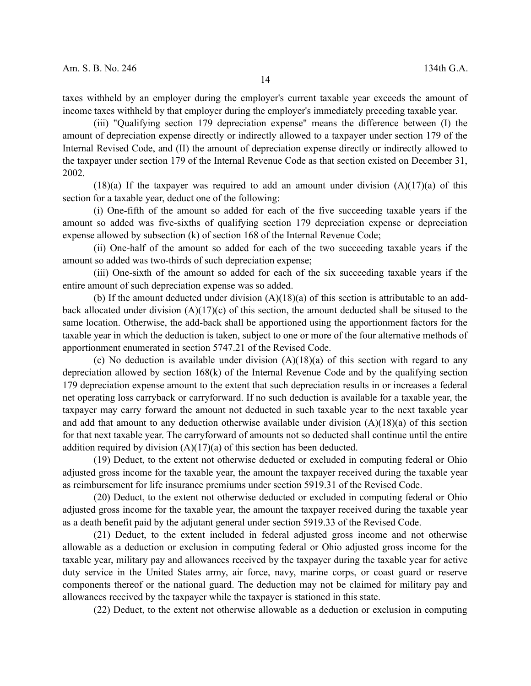taxes withheld by an employer during the employer's current taxable year exceeds the amount of income taxes withheld by that employer during the employer's immediately preceding taxable year.

(iii) "Qualifying section 179 depreciation expense" means the difference between (I) the amount of depreciation expense directly or indirectly allowed to a taxpayer under section 179 of the Internal Revised Code, and (II) the amount of depreciation expense directly or indirectly allowed to the taxpayer under section 179 of the Internal Revenue Code as that section existed on December 31, 2002.

 $(18)(a)$  If the taxpayer was required to add an amount under division  $(A)(17)(a)$  of this section for a taxable year, deduct one of the following:

(i) One-fifth of the amount so added for each of the five succeeding taxable years if the amount so added was five-sixths of qualifying section 179 depreciation expense or depreciation expense allowed by subsection (k) of section 168 of the Internal Revenue Code;

(ii) One-half of the amount so added for each of the two succeeding taxable years if the amount so added was two-thirds of such depreciation expense;

(iii) One-sixth of the amount so added for each of the six succeeding taxable years if the entire amount of such depreciation expense was so added.

(b) If the amount deducted under division  $(A)(18)(a)$  of this section is attributable to an addback allocated under division (A)(17)(c) of this section, the amount deducted shall be sitused to the same location. Otherwise, the add-back shall be apportioned using the apportionment factors for the taxable year in which the deduction is taken, subject to one or more of the four alternative methods of apportionment enumerated in section 5747.21 of the Revised Code.

(c) No deduction is available under division  $(A)(18)(a)$  of this section with regard to any depreciation allowed by section 168(k) of the Internal Revenue Code and by the qualifying section 179 depreciation expense amount to the extent that such depreciation results in or increases a federal net operating loss carryback or carryforward. If no such deduction is available for a taxable year, the taxpayer may carry forward the amount not deducted in such taxable year to the next taxable year and add that amount to any deduction otherwise available under division (A)(18)(a) of this section for that next taxable year. The carryforward of amounts not so deducted shall continue until the entire addition required by division  $(A)(17)(a)$  of this section has been deducted.

(19) Deduct, to the extent not otherwise deducted or excluded in computing federal or Ohio adjusted gross income for the taxable year, the amount the taxpayer received during the taxable year as reimbursement for life insurance premiums under section 5919.31 of the Revised Code.

(20) Deduct, to the extent not otherwise deducted or excluded in computing federal or Ohio adjusted gross income for the taxable year, the amount the taxpayer received during the taxable year as a death benefit paid by the adjutant general under section 5919.33 of the Revised Code.

(21) Deduct, to the extent included in federal adjusted gross income and not otherwise allowable as a deduction or exclusion in computing federal or Ohio adjusted gross income for the taxable year, military pay and allowances received by the taxpayer during the taxable year for active duty service in the United States army, air force, navy, marine corps, or coast guard or reserve components thereof or the national guard. The deduction may not be claimed for military pay and allowances received by the taxpayer while the taxpayer is stationed in this state.

(22) Deduct, to the extent not otherwise allowable as a deduction or exclusion in computing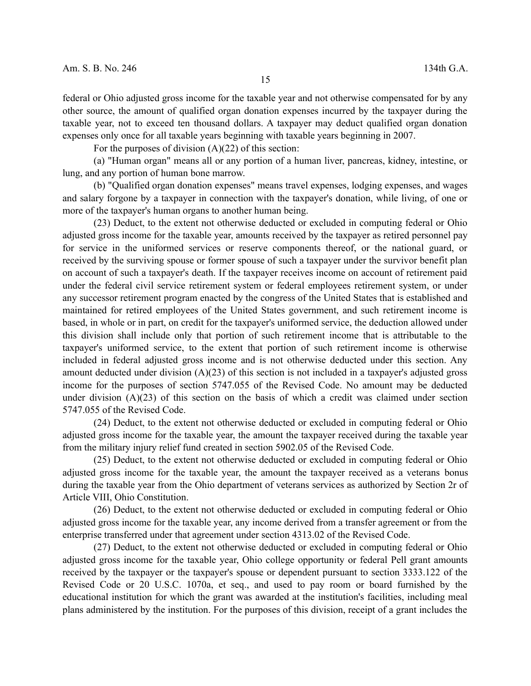federal or Ohio adjusted gross income for the taxable year and not otherwise compensated for by any other source, the amount of qualified organ donation expenses incurred by the taxpayer during the taxable year, not to exceed ten thousand dollars. A taxpayer may deduct qualified organ donation expenses only once for all taxable years beginning with taxable years beginning in 2007.

For the purposes of division  $(A)(22)$  of this section:

(a) "Human organ" means all or any portion of a human liver, pancreas, kidney, intestine, or lung, and any portion of human bone marrow.

(b) "Qualified organ donation expenses" means travel expenses, lodging expenses, and wages and salary forgone by a taxpayer in connection with the taxpayer's donation, while living, of one or more of the taxpayer's human organs to another human being.

(23) Deduct, to the extent not otherwise deducted or excluded in computing federal or Ohio adjusted gross income for the taxable year, amounts received by the taxpayer as retired personnel pay for service in the uniformed services or reserve components thereof, or the national guard, or received by the surviving spouse or former spouse of such a taxpayer under the survivor benefit plan on account of such a taxpayer's death. If the taxpayer receives income on account of retirement paid under the federal civil service retirement system or federal employees retirement system, or under any successor retirement program enacted by the congress of the United States that is established and maintained for retired employees of the United States government, and such retirement income is based, in whole or in part, on credit for the taxpayer's uniformed service, the deduction allowed under this division shall include only that portion of such retirement income that is attributable to the taxpayer's uniformed service, to the extent that portion of such retirement income is otherwise included in federal adjusted gross income and is not otherwise deducted under this section. Any amount deducted under division (A)(23) of this section is not included in a taxpayer's adjusted gross income for the purposes of section 5747.055 of the Revised Code. No amount may be deducted under division  $(A)(23)$  of this section on the basis of which a credit was claimed under section 5747.055 of the Revised Code.

(24) Deduct, to the extent not otherwise deducted or excluded in computing federal or Ohio adjusted gross income for the taxable year, the amount the taxpayer received during the taxable year from the military injury relief fund created in section 5902.05 of the Revised Code.

(25) Deduct, to the extent not otherwise deducted or excluded in computing federal or Ohio adjusted gross income for the taxable year, the amount the taxpayer received as a veterans bonus during the taxable year from the Ohio department of veterans services as authorized by Section 2r of Article VIII, Ohio Constitution.

(26) Deduct, to the extent not otherwise deducted or excluded in computing federal or Ohio adjusted gross income for the taxable year, any income derived from a transfer agreement or from the enterprise transferred under that agreement under section 4313.02 of the Revised Code.

(27) Deduct, to the extent not otherwise deducted or excluded in computing federal or Ohio adjusted gross income for the taxable year, Ohio college opportunity or federal Pell grant amounts received by the taxpayer or the taxpayer's spouse or dependent pursuant to section 3333.122 of the Revised Code or 20 U.S.C. 1070a, et seq., and used to pay room or board furnished by the educational institution for which the grant was awarded at the institution's facilities, including meal plans administered by the institution. For the purposes of this division, receipt of a grant includes the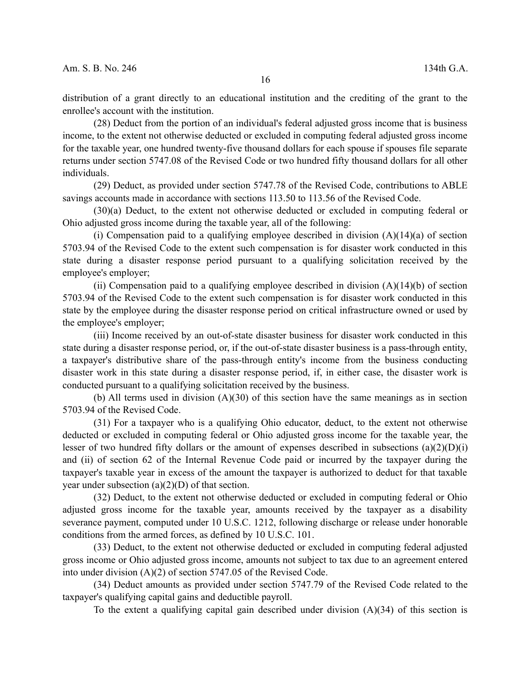distribution of a grant directly to an educational institution and the crediting of the grant to the enrollee's account with the institution.

(28) Deduct from the portion of an individual's federal adjusted gross income that is business income, to the extent not otherwise deducted or excluded in computing federal adjusted gross income for the taxable year, one hundred twenty-five thousand dollars for each spouse if spouses file separate returns under section 5747.08 of the Revised Code or two hundred fifty thousand dollars for all other individuals.

(29) Deduct, as provided under section 5747.78 of the Revised Code, contributions to ABLE savings accounts made in accordance with sections 113.50 to 113.56 of the Revised Code.

(30)(a) Deduct, to the extent not otherwise deducted or excluded in computing federal or Ohio adjusted gross income during the taxable year, all of the following:

(i) Compensation paid to a qualifying employee described in division  $(A)(14)(a)$  of section 5703.94 of the Revised Code to the extent such compensation is for disaster work conducted in this state during a disaster response period pursuant to a qualifying solicitation received by the employee's employer;

(ii) Compensation paid to a qualifying employee described in division  $(A)(14)(b)$  of section 5703.94 of the Revised Code to the extent such compensation is for disaster work conducted in this state by the employee during the disaster response period on critical infrastructure owned or used by the employee's employer;

(iii) Income received by an out-of-state disaster business for disaster work conducted in this state during a disaster response period, or, if the out-of-state disaster business is a pass-through entity, a taxpayer's distributive share of the pass-through entity's income from the business conducting disaster work in this state during a disaster response period, if, in either case, the disaster work is conducted pursuant to a qualifying solicitation received by the business.

(b) All terms used in division (A)(30) of this section have the same meanings as in section 5703.94 of the Revised Code.

(31) For a taxpayer who is a qualifying Ohio educator, deduct, to the extent not otherwise deducted or excluded in computing federal or Ohio adjusted gross income for the taxable year, the lesser of two hundred fifty dollars or the amount of expenses described in subsections  $(a)(2)(D)(i)$ and (ii) of section 62 of the Internal Revenue Code paid or incurred by the taxpayer during the taxpayer's taxable year in excess of the amount the taxpayer is authorized to deduct for that taxable year under subsection  $(a)(2)(D)$  of that section.

(32) Deduct, to the extent not otherwise deducted or excluded in computing federal or Ohio adjusted gross income for the taxable year, amounts received by the taxpayer as a disability severance payment, computed under 10 U.S.C. 1212, following discharge or release under honorable conditions from the armed forces, as defined by 10 U.S.C. 101.

(33) Deduct, to the extent not otherwise deducted or excluded in computing federal adjusted gross income or Ohio adjusted gross income, amounts not subject to tax due to an agreement entered into under division (A)(2) of section 5747.05 of the Revised Code.

(34) Deduct amounts as provided under section 5747.79 of the Revised Code related to the taxpayer's qualifying capital gains and deductible payroll.

To the extent a qualifying capital gain described under division  $(A)(34)$  of this section is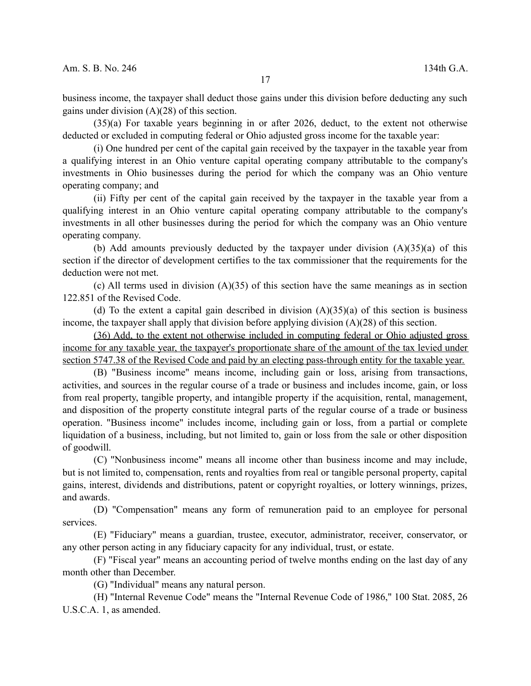business income, the taxpayer shall deduct those gains under this division before deducting any such gains under division (A)(28) of this section.

(35)(a) For taxable years beginning in or after 2026, deduct, to the extent not otherwise deducted or excluded in computing federal or Ohio adjusted gross income for the taxable year:

(i) One hundred per cent of the capital gain received by the taxpayer in the taxable year from a qualifying interest in an Ohio venture capital operating company attributable to the company's investments in Ohio businesses during the period for which the company was an Ohio venture operating company; and

(ii) Fifty per cent of the capital gain received by the taxpayer in the taxable year from a qualifying interest in an Ohio venture capital operating company attributable to the company's investments in all other businesses during the period for which the company was an Ohio venture operating company.

(b) Add amounts previously deducted by the taxpayer under division  $(A)(35)(a)$  of this section if the director of development certifies to the tax commissioner that the requirements for the deduction were not met.

(c) All terms used in division (A)(35) of this section have the same meanings as in section 122.851 of the Revised Code.

(d) To the extent a capital gain described in division  $(A)(35)(a)$  of this section is business income, the taxpayer shall apply that division before applying division (A)(28) of this section.

(36) Add, to the extent not otherwise included in computing federal or Ohio adjusted gross income for any taxable year, the taxpayer's proportionate share of the amount of the tax levied under section 5747.38 of the Revised Code and paid by an electing pass-through entity for the taxable year.

(B) "Business income" means income, including gain or loss, arising from transactions, activities, and sources in the regular course of a trade or business and includes income, gain, or loss from real property, tangible property, and intangible property if the acquisition, rental, management, and disposition of the property constitute integral parts of the regular course of a trade or business operation. "Business income" includes income, including gain or loss, from a partial or complete liquidation of a business, including, but not limited to, gain or loss from the sale or other disposition of goodwill.

(C) "Nonbusiness income" means all income other than business income and may include, but is not limited to, compensation, rents and royalties from real or tangible personal property, capital gains, interest, dividends and distributions, patent or copyright royalties, or lottery winnings, prizes, and awards.

(D) "Compensation" means any form of remuneration paid to an employee for personal services.

(E) "Fiduciary" means a guardian, trustee, executor, administrator, receiver, conservator, or any other person acting in any fiduciary capacity for any individual, trust, or estate.

(F) "Fiscal year" means an accounting period of twelve months ending on the last day of any month other than December.

(G) "Individual" means any natural person.

(H) "Internal Revenue Code" means the "Internal Revenue Code of 1986," 100 Stat. 2085, 26 U.S.C.A. 1, as amended.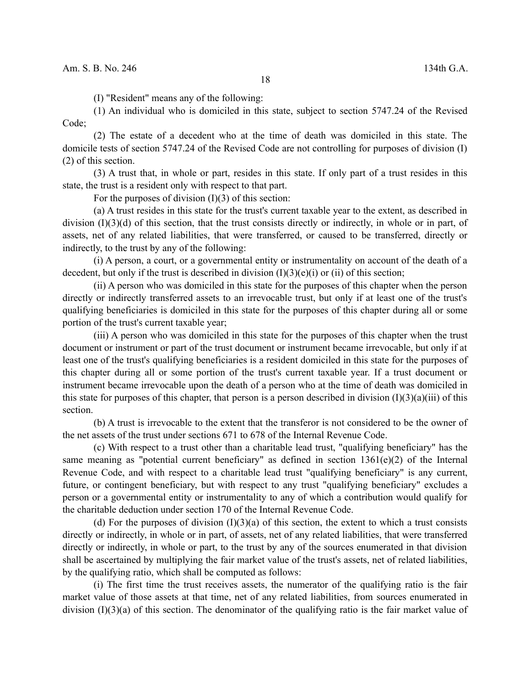(I) "Resident" means any of the following:

(1) An individual who is domiciled in this state, subject to section 5747.24 of the Revised Code;

(2) The estate of a decedent who at the time of death was domiciled in this state. The domicile tests of section 5747.24 of the Revised Code are not controlling for purposes of division (I) (2) of this section.

(3) A trust that, in whole or part, resides in this state. If only part of a trust resides in this state, the trust is a resident only with respect to that part.

For the purposes of division  $(I)(3)$  of this section:

(a) A trust resides in this state for the trust's current taxable year to the extent, as described in division  $(I)(3)(d)$  of this section, that the trust consists directly or indirectly, in whole or in part, of assets, net of any related liabilities, that were transferred, or caused to be transferred, directly or indirectly, to the trust by any of the following:

(i) A person, a court, or a governmental entity or instrumentality on account of the death of a decedent, but only if the trust is described in division  $(I)(3)(e)(i)$  or (ii) of this section;

(ii) A person who was domiciled in this state for the purposes of this chapter when the person directly or indirectly transferred assets to an irrevocable trust, but only if at least one of the trust's qualifying beneficiaries is domiciled in this state for the purposes of this chapter during all or some portion of the trust's current taxable year;

(iii) A person who was domiciled in this state for the purposes of this chapter when the trust document or instrument or part of the trust document or instrument became irrevocable, but only if at least one of the trust's qualifying beneficiaries is a resident domiciled in this state for the purposes of this chapter during all or some portion of the trust's current taxable year. If a trust document or instrument became irrevocable upon the death of a person who at the time of death was domiciled in this state for purposes of this chapter, that person is a person described in division  $(I)(3)(a)(iii)$  of this section.

(b) A trust is irrevocable to the extent that the transferor is not considered to be the owner of the net assets of the trust under sections 671 to 678 of the Internal Revenue Code.

(c) With respect to a trust other than a charitable lead trust, "qualifying beneficiary" has the same meaning as "potential current beneficiary" as defined in section 1361(e)(2) of the Internal Revenue Code, and with respect to a charitable lead trust "qualifying beneficiary" is any current, future, or contingent beneficiary, but with respect to any trust "qualifying beneficiary" excludes a person or a governmental entity or instrumentality to any of which a contribution would qualify for the charitable deduction under section 170 of the Internal Revenue Code.

(d) For the purposes of division  $(I)(3)(a)$  of this section, the extent to which a trust consists directly or indirectly, in whole or in part, of assets, net of any related liabilities, that were transferred directly or indirectly, in whole or part, to the trust by any of the sources enumerated in that division shall be ascertained by multiplying the fair market value of the trust's assets, net of related liabilities, by the qualifying ratio, which shall be computed as follows:

(i) The first time the trust receives assets, the numerator of the qualifying ratio is the fair market value of those assets at that time, net of any related liabilities, from sources enumerated in division (I)(3)(a) of this section. The denominator of the qualifying ratio is the fair market value of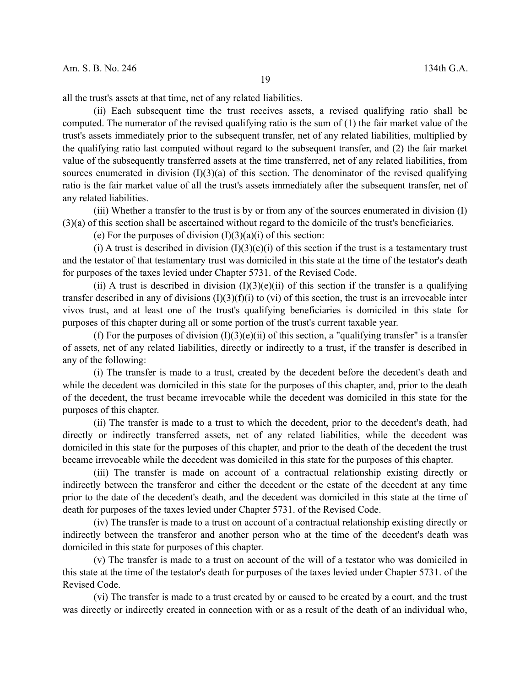19

all the trust's assets at that time, net of any related liabilities.

(ii) Each subsequent time the trust receives assets, a revised qualifying ratio shall be computed. The numerator of the revised qualifying ratio is the sum of (1) the fair market value of the trust's assets immediately prior to the subsequent transfer, net of any related liabilities, multiplied by the qualifying ratio last computed without regard to the subsequent transfer, and (2) the fair market value of the subsequently transferred assets at the time transferred, net of any related liabilities, from sources enumerated in division  $(I)(3)(a)$  of this section. The denominator of the revised qualifying ratio is the fair market value of all the trust's assets immediately after the subsequent transfer, net of any related liabilities.

(iii) Whether a transfer to the trust is by or from any of the sources enumerated in division (I) (3)(a) of this section shall be ascertained without regard to the domicile of the trust's beneficiaries.

(e) For the purposes of division  $(I)(3)(a)(i)$  of this section:

(i) A trust is described in division  $(I)(3)(e)(i)$  of this section if the trust is a testamentary trust and the testator of that testamentary trust was domiciled in this state at the time of the testator's death for purposes of the taxes levied under Chapter 5731. of the Revised Code.

(ii) A trust is described in division  $(I)(3)(e)(ii)$  of this section if the transfer is a qualifying transfer described in any of divisions  $(I)(3)(f)(i)$  to (vi) of this section, the trust is an irrevocable inter vivos trust, and at least one of the trust's qualifying beneficiaries is domiciled in this state for purposes of this chapter during all or some portion of the trust's current taxable year.

(f) For the purposes of division  $(I)(3)(e)(ii)$  of this section, a "qualifying transfer" is a transfer of assets, net of any related liabilities, directly or indirectly to a trust, if the transfer is described in any of the following:

(i) The transfer is made to a trust, created by the decedent before the decedent's death and while the decedent was domiciled in this state for the purposes of this chapter, and, prior to the death of the decedent, the trust became irrevocable while the decedent was domiciled in this state for the purposes of this chapter.

(ii) The transfer is made to a trust to which the decedent, prior to the decedent's death, had directly or indirectly transferred assets, net of any related liabilities, while the decedent was domiciled in this state for the purposes of this chapter, and prior to the death of the decedent the trust became irrevocable while the decedent was domiciled in this state for the purposes of this chapter.

(iii) The transfer is made on account of a contractual relationship existing directly or indirectly between the transferor and either the decedent or the estate of the decedent at any time prior to the date of the decedent's death, and the decedent was domiciled in this state at the time of death for purposes of the taxes levied under Chapter 5731. of the Revised Code.

(iv) The transfer is made to a trust on account of a contractual relationship existing directly or indirectly between the transferor and another person who at the time of the decedent's death was domiciled in this state for purposes of this chapter.

(v) The transfer is made to a trust on account of the will of a testator who was domiciled in this state at the time of the testator's death for purposes of the taxes levied under Chapter 5731. of the Revised Code.

(vi) The transfer is made to a trust created by or caused to be created by a court, and the trust was directly or indirectly created in connection with or as a result of the death of an individual who,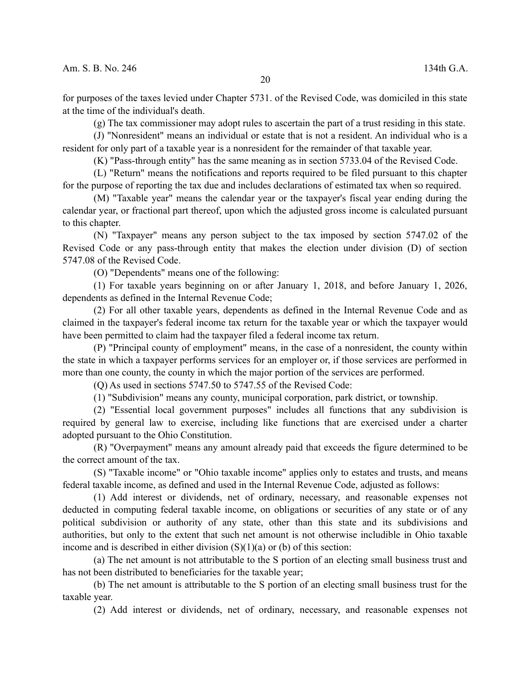for purposes of the taxes levied under Chapter 5731. of the Revised Code, was domiciled in this state at the time of the individual's death.

20

(g) The tax commissioner may adopt rules to ascertain the part of a trust residing in this state.

(J) "Nonresident" means an individual or estate that is not a resident. An individual who is a resident for only part of a taxable year is a nonresident for the remainder of that taxable year.

(K) "Pass-through entity" has the same meaning as in section 5733.04 of the Revised Code.

(L) "Return" means the notifications and reports required to be filed pursuant to this chapter for the purpose of reporting the tax due and includes declarations of estimated tax when so required.

(M) "Taxable year" means the calendar year or the taxpayer's fiscal year ending during the calendar year, or fractional part thereof, upon which the adjusted gross income is calculated pursuant to this chapter.

(N) "Taxpayer" means any person subject to the tax imposed by section 5747.02 of the Revised Code or any pass-through entity that makes the election under division (D) of section 5747.08 of the Revised Code.

(O) "Dependents" means one of the following:

(1) For taxable years beginning on or after January 1, 2018, and before January 1, 2026, dependents as defined in the Internal Revenue Code;

(2) For all other taxable years, dependents as defined in the Internal Revenue Code and as claimed in the taxpayer's federal income tax return for the taxable year or which the taxpayer would have been permitted to claim had the taxpayer filed a federal income tax return.

(P) "Principal county of employment" means, in the case of a nonresident, the county within the state in which a taxpayer performs services for an employer or, if those services are performed in more than one county, the county in which the major portion of the services are performed.

(Q) As used in sections 5747.50 to 5747.55 of the Revised Code:

(1) "Subdivision" means any county, municipal corporation, park district, or township.

(2) "Essential local government purposes" includes all functions that any subdivision is required by general law to exercise, including like functions that are exercised under a charter adopted pursuant to the Ohio Constitution.

(R) "Overpayment" means any amount already paid that exceeds the figure determined to be the correct amount of the tax.

(S) "Taxable income" or "Ohio taxable income" applies only to estates and trusts, and means federal taxable income, as defined and used in the Internal Revenue Code, adjusted as follows:

(1) Add interest or dividends, net of ordinary, necessary, and reasonable expenses not deducted in computing federal taxable income, on obligations or securities of any state or of any political subdivision or authority of any state, other than this state and its subdivisions and authorities, but only to the extent that such net amount is not otherwise includible in Ohio taxable income and is described in either division  $(S)(1)(a)$  or (b) of this section:

(a) The net amount is not attributable to the S portion of an electing small business trust and has not been distributed to beneficiaries for the taxable year;

(b) The net amount is attributable to the S portion of an electing small business trust for the taxable year.

(2) Add interest or dividends, net of ordinary, necessary, and reasonable expenses not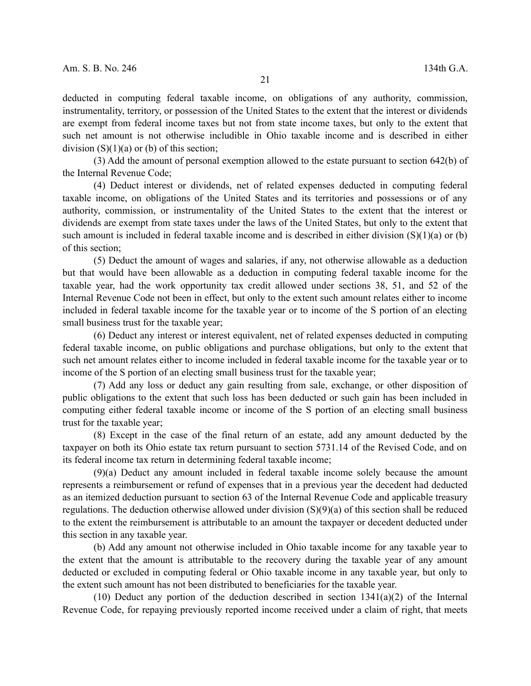deducted in computing federal taxable income, on obligations of any authority, commission, instrumentality, territory, or possession of the United States to the extent that the interest or dividends are exempt from federal income taxes but not from state income taxes, but only to the extent that such net amount is not otherwise includible in Ohio taxable income and is described in either division  $(S)(1)(a)$  or (b) of this section;

(3) Add the amount of personal exemption allowed to the estate pursuant to section 642(b) of the Internal Revenue Code;

(4) Deduct interest or dividends, net of related expenses deducted in computing federal taxable income, on obligations of the United States and its territories and possessions or of any authority, commission, or instrumentality of the United States to the extent that the interest or dividends are exempt from state taxes under the laws of the United States, but only to the extent that such amount is included in federal taxable income and is described in either division (S)(1)(a) or (b) of this section;

(5) Deduct the amount of wages and salaries, if any, not otherwise allowable as a deduction but that would have been allowable as a deduction in computing federal taxable income for the taxable year, had the work opportunity tax credit allowed under sections 38, 51, and 52 of the Internal Revenue Code not been in effect, but only to the extent such amount relates either to income included in federal taxable income for the taxable year or to income of the S portion of an electing small business trust for the taxable year;

(6) Deduct any interest or interest equivalent, net of related expenses deducted in computing federal taxable income, on public obligations and purchase obligations, but only to the extent that such net amount relates either to income included in federal taxable income for the taxable year or to income of the S portion of an electing small business trust for the taxable year;

(7) Add any loss or deduct any gain resulting from sale, exchange, or other disposition of public obligations to the extent that such loss has been deducted or such gain has been included in computing either federal taxable income or income of the S portion of an electing small business trust for the taxable year;

(8) Except in the case of the final return of an estate, add any amount deducted by the taxpayer on both its Ohio estate tax return pursuant to section 5731.14 of the Revised Code, and on its federal income tax return in determining federal taxable income;

(9)(a) Deduct any amount included in federal taxable income solely because the amount represents a reimbursement or refund of expenses that in a previous year the decedent had deducted as an itemized deduction pursuant to section 63 of the Internal Revenue Code and applicable treasury regulations. The deduction otherwise allowed under division (S)(9)(a) of this section shall be reduced to the extent the reimbursement is attributable to an amount the taxpayer or decedent deducted under this section in any taxable year.

(b) Add any amount not otherwise included in Ohio taxable income for any taxable year to the extent that the amount is attributable to the recovery during the taxable year of any amount deducted or excluded in computing federal or Ohio taxable income in any taxable year, but only to the extent such amount has not been distributed to beneficiaries for the taxable year.

 $(10)$  Deduct any portion of the deduction described in section  $1341(a)(2)$  of the Internal Revenue Code, for repaying previously reported income received under a claim of right, that meets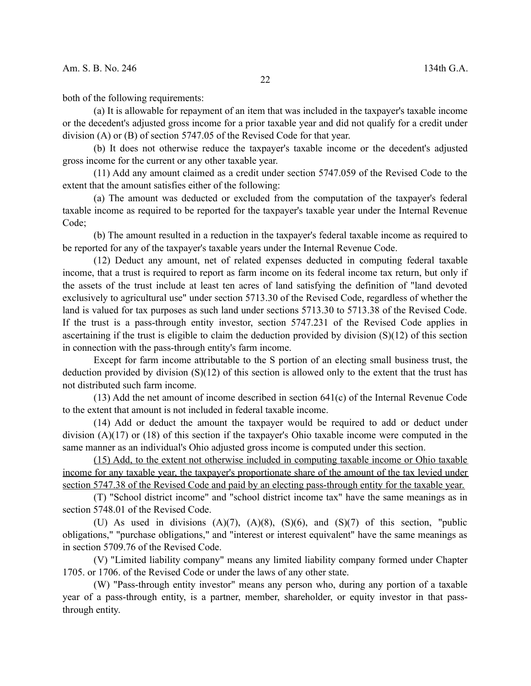both of the following requirements:

(a) It is allowable for repayment of an item that was included in the taxpayer's taxable income or the decedent's adjusted gross income for a prior taxable year and did not qualify for a credit under division (A) or (B) of section 5747.05 of the Revised Code for that year.

(b) It does not otherwise reduce the taxpayer's taxable income or the decedent's adjusted gross income for the current or any other taxable year.

(11) Add any amount claimed as a credit under section 5747.059 of the Revised Code to the extent that the amount satisfies either of the following:

(a) The amount was deducted or excluded from the computation of the taxpayer's federal taxable income as required to be reported for the taxpayer's taxable year under the Internal Revenue Code;

(b) The amount resulted in a reduction in the taxpayer's federal taxable income as required to be reported for any of the taxpayer's taxable years under the Internal Revenue Code.

(12) Deduct any amount, net of related expenses deducted in computing federal taxable income, that a trust is required to report as farm income on its federal income tax return, but only if the assets of the trust include at least ten acres of land satisfying the definition of "land devoted exclusively to agricultural use" under section 5713.30 of the Revised Code, regardless of whether the land is valued for tax purposes as such land under sections 5713.30 to 5713.38 of the Revised Code. If the trust is a pass-through entity investor, section 5747.231 of the Revised Code applies in ascertaining if the trust is eligible to claim the deduction provided by division (S)(12) of this section in connection with the pass-through entity's farm income.

Except for farm income attributable to the S portion of an electing small business trust, the deduction provided by division (S)(12) of this section is allowed only to the extent that the trust has not distributed such farm income.

(13) Add the net amount of income described in section 641(c) of the Internal Revenue Code to the extent that amount is not included in federal taxable income.

(14) Add or deduct the amount the taxpayer would be required to add or deduct under division (A)(17) or (18) of this section if the taxpayer's Ohio taxable income were computed in the same manner as an individual's Ohio adjusted gross income is computed under this section.

(15) Add, to the extent not otherwise included in computing taxable income or Ohio taxable income for any taxable year, the taxpayer's proportionate share of the amount of the tax levied under section 5747.38 of the Revised Code and paid by an electing pass-through entity for the taxable year.

(T) "School district income" and "school district income tax" have the same meanings as in section 5748.01 of the Revised Code.

(U) As used in divisions  $(A)(7)$ ,  $(A)(8)$ ,  $(S)(6)$ , and  $(S)(7)$  of this section, "public obligations," "purchase obligations," and "interest or interest equivalent" have the same meanings as in section 5709.76 of the Revised Code.

(V) "Limited liability company" means any limited liability company formed under Chapter 1705. or 1706. of the Revised Code or under the laws of any other state.

(W) "Pass-through entity investor" means any person who, during any portion of a taxable year of a pass-through entity, is a partner, member, shareholder, or equity investor in that passthrough entity.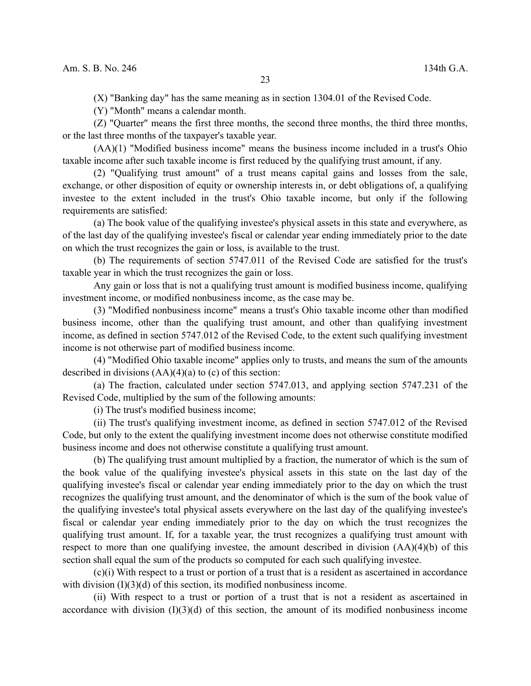(X) "Banking day" has the same meaning as in section 1304.01 of the Revised Code.

(Y) "Month" means a calendar month.

(Z) "Quarter" means the first three months, the second three months, the third three months, or the last three months of the taxpayer's taxable year.

(AA)(1) "Modified business income" means the business income included in a trust's Ohio taxable income after such taxable income is first reduced by the qualifying trust amount, if any.

(2) "Qualifying trust amount" of a trust means capital gains and losses from the sale, exchange, or other disposition of equity or ownership interests in, or debt obligations of, a qualifying investee to the extent included in the trust's Ohio taxable income, but only if the following requirements are satisfied:

(a) The book value of the qualifying investee's physical assets in this state and everywhere, as of the last day of the qualifying investee's fiscal or calendar year ending immediately prior to the date on which the trust recognizes the gain or loss, is available to the trust.

(b) The requirements of section 5747.011 of the Revised Code are satisfied for the trust's taxable year in which the trust recognizes the gain or loss.

Any gain or loss that is not a qualifying trust amount is modified business income, qualifying investment income, or modified nonbusiness income, as the case may be.

(3) "Modified nonbusiness income" means a trust's Ohio taxable income other than modified business income, other than the qualifying trust amount, and other than qualifying investment income, as defined in section 5747.012 of the Revised Code, to the extent such qualifying investment income is not otherwise part of modified business income.

(4) "Modified Ohio taxable income" applies only to trusts, and means the sum of the amounts described in divisions  $(AA)(4)(a)$  to (c) of this section:

(a) The fraction, calculated under section 5747.013, and applying section 5747.231 of the Revised Code, multiplied by the sum of the following amounts:

(i) The trust's modified business income;

(ii) The trust's qualifying investment income, as defined in section 5747.012 of the Revised Code, but only to the extent the qualifying investment income does not otherwise constitute modified business income and does not otherwise constitute a qualifying trust amount.

(b) The qualifying trust amount multiplied by a fraction, the numerator of which is the sum of the book value of the qualifying investee's physical assets in this state on the last day of the qualifying investee's fiscal or calendar year ending immediately prior to the day on which the trust recognizes the qualifying trust amount, and the denominator of which is the sum of the book value of the qualifying investee's total physical assets everywhere on the last day of the qualifying investee's fiscal or calendar year ending immediately prior to the day on which the trust recognizes the qualifying trust amount. If, for a taxable year, the trust recognizes a qualifying trust amount with respect to more than one qualifying investee, the amount described in division (AA)(4)(b) of this section shall equal the sum of the products so computed for each such qualifying investee.

(c)(i) With respect to a trust or portion of a trust that is a resident as ascertained in accordance with division  $(I)(3)(d)$  of this section, its modified nonbusiness income.

(ii) With respect to a trust or portion of a trust that is not a resident as ascertained in accordance with division  $(I)(3)(d)$  of this section, the amount of its modified nonbusiness income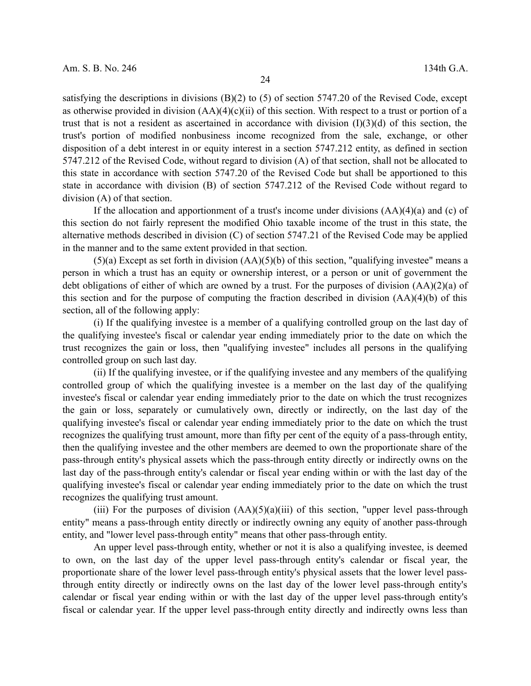satisfying the descriptions in divisions  $(B)(2)$  to (5) of section 5747.20 of the Revised Code, except as otherwise provided in division  $(AA)(4)(c)(ii)$  of this section. With respect to a trust or portion of a trust that is not a resident as ascertained in accordance with division  $(I)(3)(d)$  of this section, the trust's portion of modified nonbusiness income recognized from the sale, exchange, or other disposition of a debt interest in or equity interest in a section 5747.212 entity, as defined in section 5747.212 of the Revised Code, without regard to division (A) of that section, shall not be allocated to this state in accordance with section 5747.20 of the Revised Code but shall be apportioned to this state in accordance with division (B) of section 5747.212 of the Revised Code without regard to division (A) of that section.

If the allocation and apportionment of a trust's income under divisions  $(AA)(4)(a)$  and (c) of this section do not fairly represent the modified Ohio taxable income of the trust in this state, the alternative methods described in division (C) of section 5747.21 of the Revised Code may be applied in the manner and to the same extent provided in that section.

 $(5)(a)$  Except as set forth in division  $(AA)(5)(b)$  of this section, "qualifying investee" means a person in which a trust has an equity or ownership interest, or a person or unit of government the debt obligations of either of which are owned by a trust. For the purposes of division (AA)(2)(a) of this section and for the purpose of computing the fraction described in division (AA)(4)(b) of this section, all of the following apply:

(i) If the qualifying investee is a member of a qualifying controlled group on the last day of the qualifying investee's fiscal or calendar year ending immediately prior to the date on which the trust recognizes the gain or loss, then "qualifying investee" includes all persons in the qualifying controlled group on such last day.

(ii) If the qualifying investee, or if the qualifying investee and any members of the qualifying controlled group of which the qualifying investee is a member on the last day of the qualifying investee's fiscal or calendar year ending immediately prior to the date on which the trust recognizes the gain or loss, separately or cumulatively own, directly or indirectly, on the last day of the qualifying investee's fiscal or calendar year ending immediately prior to the date on which the trust recognizes the qualifying trust amount, more than fifty per cent of the equity of a pass-through entity, then the qualifying investee and the other members are deemed to own the proportionate share of the pass-through entity's physical assets which the pass-through entity directly or indirectly owns on the last day of the pass-through entity's calendar or fiscal year ending within or with the last day of the qualifying investee's fiscal or calendar year ending immediately prior to the date on which the trust recognizes the qualifying trust amount.

(iii) For the purposes of division  $(AA)(5)(a)(iii)$  of this section, "upper level pass-through entity" means a pass-through entity directly or indirectly owning any equity of another pass-through entity, and "lower level pass-through entity" means that other pass-through entity.

An upper level pass-through entity, whether or not it is also a qualifying investee, is deemed to own, on the last day of the upper level pass-through entity's calendar or fiscal year, the proportionate share of the lower level pass-through entity's physical assets that the lower level passthrough entity directly or indirectly owns on the last day of the lower level pass-through entity's calendar or fiscal year ending within or with the last day of the upper level pass-through entity's fiscal or calendar year. If the upper level pass-through entity directly and indirectly owns less than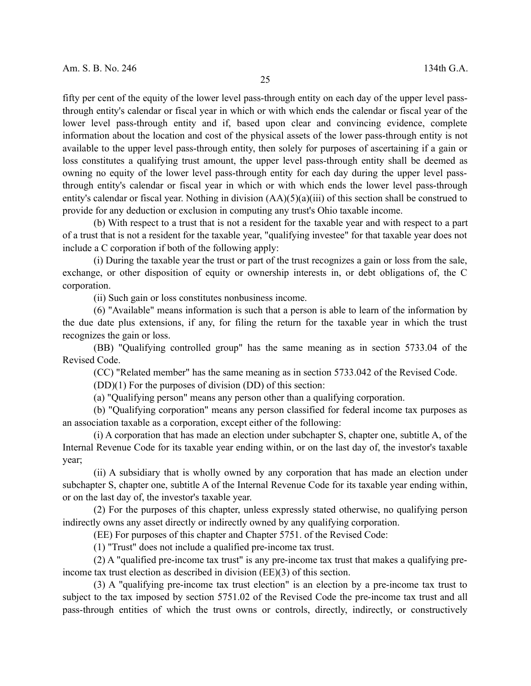fifty per cent of the equity of the lower level pass-through entity on each day of the upper level passthrough entity's calendar or fiscal year in which or with which ends the calendar or fiscal year of the lower level pass-through entity and if, based upon clear and convincing evidence, complete information about the location and cost of the physical assets of the lower pass-through entity is not available to the upper level pass-through entity, then solely for purposes of ascertaining if a gain or loss constitutes a qualifying trust amount, the upper level pass-through entity shall be deemed as owning no equity of the lower level pass-through entity for each day during the upper level passthrough entity's calendar or fiscal year in which or with which ends the lower level pass-through entity's calendar or fiscal year. Nothing in division  $(AA)(5)(a)(iii)$  of this section shall be construed to provide for any deduction or exclusion in computing any trust's Ohio taxable income.

(b) With respect to a trust that is not a resident for the taxable year and with respect to a part of a trust that is not a resident for the taxable year, "qualifying investee" for that taxable year does not include a C corporation if both of the following apply:

(i) During the taxable year the trust or part of the trust recognizes a gain or loss from the sale, exchange, or other disposition of equity or ownership interests in, or debt obligations of, the C corporation.

(ii) Such gain or loss constitutes nonbusiness income.

(6) "Available" means information is such that a person is able to learn of the information by the due date plus extensions, if any, for filing the return for the taxable year in which the trust recognizes the gain or loss.

(BB) "Qualifying controlled group" has the same meaning as in section 5733.04 of the Revised Code.

(CC) "Related member" has the same meaning as in section 5733.042 of the Revised Code.

(DD)(1) For the purposes of division (DD) of this section:

(a) "Qualifying person" means any person other than a qualifying corporation.

(b) "Qualifying corporation" means any person classified for federal income tax purposes as an association taxable as a corporation, except either of the following:

(i) A corporation that has made an election under subchapter S, chapter one, subtitle A, of the Internal Revenue Code for its taxable year ending within, or on the last day of, the investor's taxable year;

(ii) A subsidiary that is wholly owned by any corporation that has made an election under subchapter S, chapter one, subtitle A of the Internal Revenue Code for its taxable year ending within, or on the last day of, the investor's taxable year.

(2) For the purposes of this chapter, unless expressly stated otherwise, no qualifying person indirectly owns any asset directly or indirectly owned by any qualifying corporation.

(EE) For purposes of this chapter and Chapter 5751. of the Revised Code:

(1) "Trust" does not include a qualified pre-income tax trust.

(2) A "qualified pre-income tax trust" is any pre-income tax trust that makes a qualifying preincome tax trust election as described in division (EE)(3) of this section.

(3) A "qualifying pre-income tax trust election" is an election by a pre-income tax trust to subject to the tax imposed by section 5751.02 of the Revised Code the pre-income tax trust and all pass-through entities of which the trust owns or controls, directly, indirectly, or constructively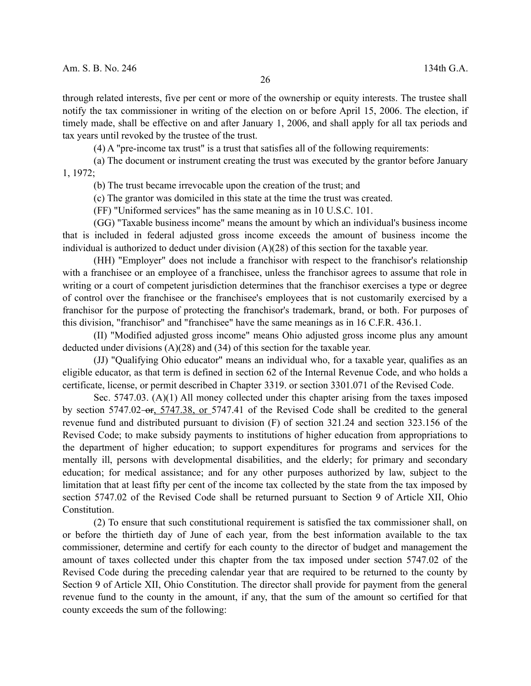through related interests, five per cent or more of the ownership or equity interests. The trustee shall notify the tax commissioner in writing of the election on or before April 15, 2006. The election, if timely made, shall be effective on and after January 1, 2006, and shall apply for all tax periods and tax years until revoked by the trustee of the trust.

(4) A "pre-income tax trust" is a trust that satisfies all of the following requirements:

(a) The document or instrument creating the trust was executed by the grantor before January 1, 1972;

(b) The trust became irrevocable upon the creation of the trust; and

(c) The grantor was domiciled in this state at the time the trust was created.

(FF) "Uniformed services" has the same meaning as in 10 U.S.C. 101.

(GG) "Taxable business income" means the amount by which an individual's business income that is included in federal adjusted gross income exceeds the amount of business income the individual is authorized to deduct under division (A)(28) of this section for the taxable year.

(HH) "Employer" does not include a franchisor with respect to the franchisor's relationship with a franchisee or an employee of a franchisee, unless the franchisor agrees to assume that role in writing or a court of competent jurisdiction determines that the franchisor exercises a type or degree of control over the franchisee or the franchisee's employees that is not customarily exercised by a franchisor for the purpose of protecting the franchisor's trademark, brand, or both. For purposes of this division, "franchisor" and "franchisee" have the same meanings as in 16 C.F.R. 436.1.

(II) "Modified adjusted gross income" means Ohio adjusted gross income plus any amount deducted under divisions (A)(28) and (34) of this section for the taxable year.

(JJ) "Qualifying Ohio educator" means an individual who, for a taxable year, qualifies as an eligible educator, as that term is defined in section 62 of the Internal Revenue Code, and who holds a certificate, license, or permit described in Chapter 3319. or section 3301.071 of the Revised Code.

Sec. 5747.03. (A)(1) All money collected under this chapter arising from the taxes imposed by section 5747.02-or, 5747.38, or 5747.41 of the Revised Code shall be credited to the general revenue fund and distributed pursuant to division (F) of section 321.24 and section 323.156 of the Revised Code; to make subsidy payments to institutions of higher education from appropriations to the department of higher education; to support expenditures for programs and services for the mentally ill, persons with developmental disabilities, and the elderly; for primary and secondary education; for medical assistance; and for any other purposes authorized by law, subject to the limitation that at least fifty per cent of the income tax collected by the state from the tax imposed by section 5747.02 of the Revised Code shall be returned pursuant to Section 9 of Article XII, Ohio Constitution.

(2) To ensure that such constitutional requirement is satisfied the tax commissioner shall, on or before the thirtieth day of June of each year, from the best information available to the tax commissioner, determine and certify for each county to the director of budget and management the amount of taxes collected under this chapter from the tax imposed under section 5747.02 of the Revised Code during the preceding calendar year that are required to be returned to the county by Section 9 of Article XII, Ohio Constitution. The director shall provide for payment from the general revenue fund to the county in the amount, if any, that the sum of the amount so certified for that county exceeds the sum of the following: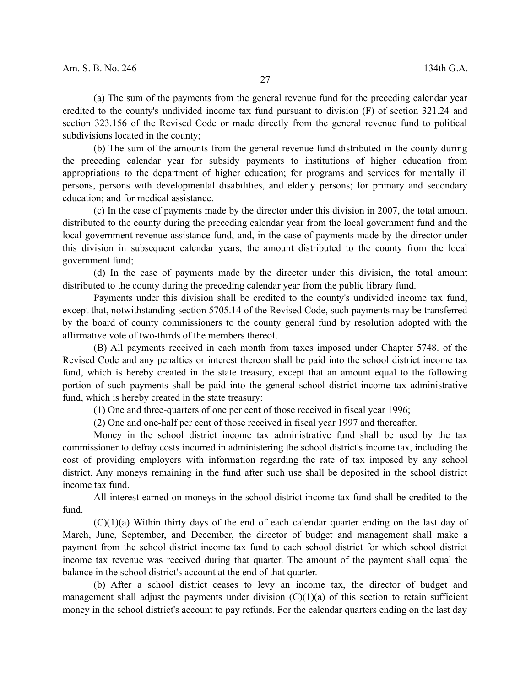(a) The sum of the payments from the general revenue fund for the preceding calendar year credited to the county's undivided income tax fund pursuant to division (F) of section 321.24 and section 323.156 of the Revised Code or made directly from the general revenue fund to political subdivisions located in the county;

(b) The sum of the amounts from the general revenue fund distributed in the county during the preceding calendar year for subsidy payments to institutions of higher education from appropriations to the department of higher education; for programs and services for mentally ill persons, persons with developmental disabilities, and elderly persons; for primary and secondary education; and for medical assistance.

(c) In the case of payments made by the director under this division in 2007, the total amount distributed to the county during the preceding calendar year from the local government fund and the local government revenue assistance fund, and, in the case of payments made by the director under this division in subsequent calendar years, the amount distributed to the county from the local government fund;

(d) In the case of payments made by the director under this division, the total amount distributed to the county during the preceding calendar year from the public library fund.

Payments under this division shall be credited to the county's undivided income tax fund, except that, notwithstanding section 5705.14 of the Revised Code, such payments may be transferred by the board of county commissioners to the county general fund by resolution adopted with the affirmative vote of two-thirds of the members thereof.

(B) All payments received in each month from taxes imposed under Chapter 5748. of the Revised Code and any penalties or interest thereon shall be paid into the school district income tax fund, which is hereby created in the state treasury, except that an amount equal to the following portion of such payments shall be paid into the general school district income tax administrative fund, which is hereby created in the state treasury:

(1) One and three-quarters of one per cent of those received in fiscal year 1996;

(2) One and one-half per cent of those received in fiscal year 1997 and thereafter.

Money in the school district income tax administrative fund shall be used by the tax commissioner to defray costs incurred in administering the school district's income tax, including the cost of providing employers with information regarding the rate of tax imposed by any school district. Any moneys remaining in the fund after such use shall be deposited in the school district income tax fund.

All interest earned on moneys in the school district income tax fund shall be credited to the fund.

 $(C)(1)(a)$  Within thirty days of the end of each calendar quarter ending on the last day of March, June, September, and December, the director of budget and management shall make a payment from the school district income tax fund to each school district for which school district income tax revenue was received during that quarter. The amount of the payment shall equal the balance in the school district's account at the end of that quarter.

(b) After a school district ceases to levy an income tax, the director of budget and management shall adjust the payments under division  $(C)(1)(a)$  of this section to retain sufficient money in the school district's account to pay refunds. For the calendar quarters ending on the last day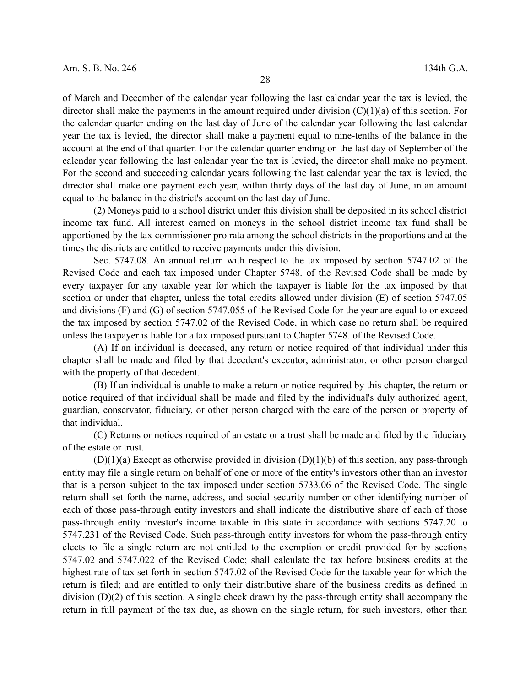of March and December of the calendar year following the last calendar year the tax is levied, the director shall make the payments in the amount required under division (C)(1)(a) of this section. For the calendar quarter ending on the last day of June of the calendar year following the last calendar year the tax is levied, the director shall make a payment equal to nine-tenths of the balance in the account at the end of that quarter. For the calendar quarter ending on the last day of September of the calendar year following the last calendar year the tax is levied, the director shall make no payment. For the second and succeeding calendar years following the last calendar year the tax is levied, the director shall make one payment each year, within thirty days of the last day of June, in an amount equal to the balance in the district's account on the last day of June.

(2) Moneys paid to a school district under this division shall be deposited in its school district income tax fund. All interest earned on moneys in the school district income tax fund shall be apportioned by the tax commissioner pro rata among the school districts in the proportions and at the times the districts are entitled to receive payments under this division.

Sec. 5747.08. An annual return with respect to the tax imposed by section 5747.02 of the Revised Code and each tax imposed under Chapter 5748. of the Revised Code shall be made by every taxpayer for any taxable year for which the taxpayer is liable for the tax imposed by that section or under that chapter, unless the total credits allowed under division (E) of section 5747.05 and divisions (F) and (G) of section 5747.055 of the Revised Code for the year are equal to or exceed the tax imposed by section 5747.02 of the Revised Code, in which case no return shall be required unless the taxpayer is liable for a tax imposed pursuant to Chapter 5748. of the Revised Code.

(A) If an individual is deceased, any return or notice required of that individual under this chapter shall be made and filed by that decedent's executor, administrator, or other person charged with the property of that decedent.

(B) If an individual is unable to make a return or notice required by this chapter, the return or notice required of that individual shall be made and filed by the individual's duly authorized agent, guardian, conservator, fiduciary, or other person charged with the care of the person or property of that individual.

(C) Returns or notices required of an estate or a trust shall be made and filed by the fiduciary of the estate or trust.

 $(D)(1)(a)$  Except as otherwise provided in division  $(D)(1)(b)$  of this section, any pass-through entity may file a single return on behalf of one or more of the entity's investors other than an investor that is a person subject to the tax imposed under section 5733.06 of the Revised Code. The single return shall set forth the name, address, and social security number or other identifying number of each of those pass-through entity investors and shall indicate the distributive share of each of those pass-through entity investor's income taxable in this state in accordance with sections 5747.20 to 5747.231 of the Revised Code. Such pass-through entity investors for whom the pass-through entity elects to file a single return are not entitled to the exemption or credit provided for by sections 5747.02 and 5747.022 of the Revised Code; shall calculate the tax before business credits at the highest rate of tax set forth in section 5747.02 of the Revised Code for the taxable year for which the return is filed; and are entitled to only their distributive share of the business credits as defined in division (D)(2) of this section. A single check drawn by the pass-through entity shall accompany the return in full payment of the tax due, as shown on the single return, for such investors, other than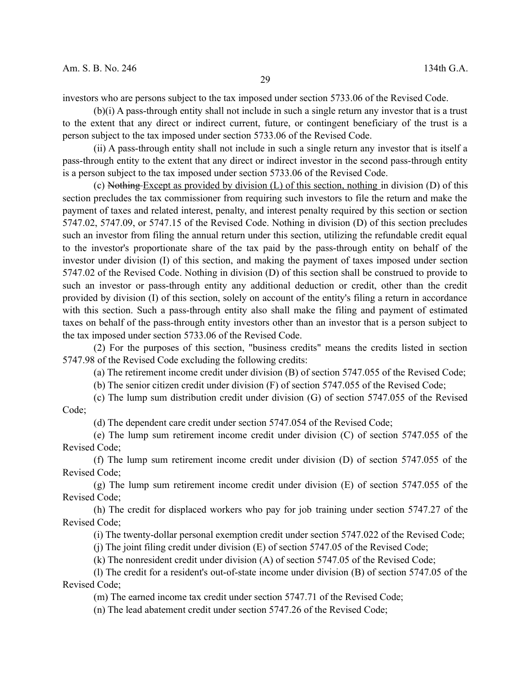investors who are persons subject to the tax imposed under section 5733.06 of the Revised Code.

(b)(i) A pass-through entity shall not include in such a single return any investor that is a trust to the extent that any direct or indirect current, future, or contingent beneficiary of the trust is a person subject to the tax imposed under section 5733.06 of the Revised Code.

(ii) A pass-through entity shall not include in such a single return any investor that is itself a pass-through entity to the extent that any direct or indirect investor in the second pass-through entity is a person subject to the tax imposed under section 5733.06 of the Revised Code.

(c) Nothing Except as provided by division (L) of this section, nothing in division (D) of this section precludes the tax commissioner from requiring such investors to file the return and make the payment of taxes and related interest, penalty, and interest penalty required by this section or section 5747.02, 5747.09, or 5747.15 of the Revised Code. Nothing in division (D) of this section precludes such an investor from filing the annual return under this section, utilizing the refundable credit equal to the investor's proportionate share of the tax paid by the pass-through entity on behalf of the investor under division (I) of this section, and making the payment of taxes imposed under section 5747.02 of the Revised Code. Nothing in division (D) of this section shall be construed to provide to such an investor or pass-through entity any additional deduction or credit, other than the credit provided by division (I) of this section, solely on account of the entity's filing a return in accordance with this section. Such a pass-through entity also shall make the filing and payment of estimated taxes on behalf of the pass-through entity investors other than an investor that is a person subject to the tax imposed under section 5733.06 of the Revised Code.

(2) For the purposes of this section, "business credits" means the credits listed in section 5747.98 of the Revised Code excluding the following credits:

(a) The retirement income credit under division (B) of section 5747.055 of the Revised Code;

(b) The senior citizen credit under division (F) of section 5747.055 of the Revised Code;

(c) The lump sum distribution credit under division (G) of section 5747.055 of the Revised Code;

(d) The dependent care credit under section 5747.054 of the Revised Code;

(e) The lump sum retirement income credit under division (C) of section 5747.055 of the Revised Code;

(f) The lump sum retirement income credit under division (D) of section 5747.055 of the Revised Code;

(g) The lump sum retirement income credit under division (E) of section 5747.055 of the Revised Code;

(h) The credit for displaced workers who pay for job training under section 5747.27 of the Revised Code;

(i) The twenty-dollar personal exemption credit under section 5747.022 of the Revised Code;

(j) The joint filing credit under division (E) of section 5747.05 of the Revised Code;

(k) The nonresident credit under division (A) of section 5747.05 of the Revised Code;

(l) The credit for a resident's out-of-state income under division (B) of section 5747.05 of the Revised Code;

(m) The earned income tax credit under section 5747.71 of the Revised Code;

(n) The lead abatement credit under section 5747.26 of the Revised Code;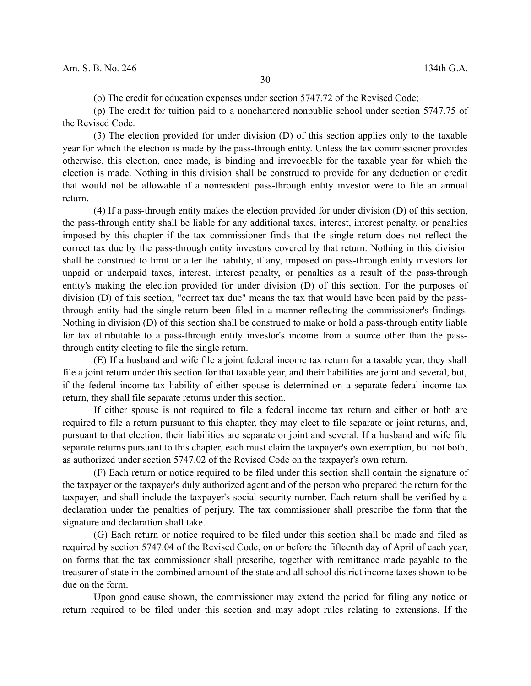(o) The credit for education expenses under section 5747.72 of the Revised Code;

(p) The credit for tuition paid to a nonchartered nonpublic school under section 5747.75 of the Revised Code.

(3) The election provided for under division (D) of this section applies only to the taxable year for which the election is made by the pass-through entity. Unless the tax commissioner provides otherwise, this election, once made, is binding and irrevocable for the taxable year for which the election is made. Nothing in this division shall be construed to provide for any deduction or credit that would not be allowable if a nonresident pass-through entity investor were to file an annual return.

(4) If a pass-through entity makes the election provided for under division (D) of this section, the pass-through entity shall be liable for any additional taxes, interest, interest penalty, or penalties imposed by this chapter if the tax commissioner finds that the single return does not reflect the correct tax due by the pass-through entity investors covered by that return. Nothing in this division shall be construed to limit or alter the liability, if any, imposed on pass-through entity investors for unpaid or underpaid taxes, interest, interest penalty, or penalties as a result of the pass-through entity's making the election provided for under division (D) of this section. For the purposes of division (D) of this section, "correct tax due" means the tax that would have been paid by the passthrough entity had the single return been filed in a manner reflecting the commissioner's findings. Nothing in division (D) of this section shall be construed to make or hold a pass-through entity liable for tax attributable to a pass-through entity investor's income from a source other than the passthrough entity electing to file the single return.

(E) If a husband and wife file a joint federal income tax return for a taxable year, they shall file a joint return under this section for that taxable year, and their liabilities are joint and several, but, if the federal income tax liability of either spouse is determined on a separate federal income tax return, they shall file separate returns under this section.

If either spouse is not required to file a federal income tax return and either or both are required to file a return pursuant to this chapter, they may elect to file separate or joint returns, and, pursuant to that election, their liabilities are separate or joint and several. If a husband and wife file separate returns pursuant to this chapter, each must claim the taxpayer's own exemption, but not both, as authorized under section 5747.02 of the Revised Code on the taxpayer's own return.

(F) Each return or notice required to be filed under this section shall contain the signature of the taxpayer or the taxpayer's duly authorized agent and of the person who prepared the return for the taxpayer, and shall include the taxpayer's social security number. Each return shall be verified by a declaration under the penalties of perjury. The tax commissioner shall prescribe the form that the signature and declaration shall take.

(G) Each return or notice required to be filed under this section shall be made and filed as required by section 5747.04 of the Revised Code, on or before the fifteenth day of April of each year, on forms that the tax commissioner shall prescribe, together with remittance made payable to the treasurer of state in the combined amount of the state and all school district income taxes shown to be due on the form.

Upon good cause shown, the commissioner may extend the period for filing any notice or return required to be filed under this section and may adopt rules relating to extensions. If the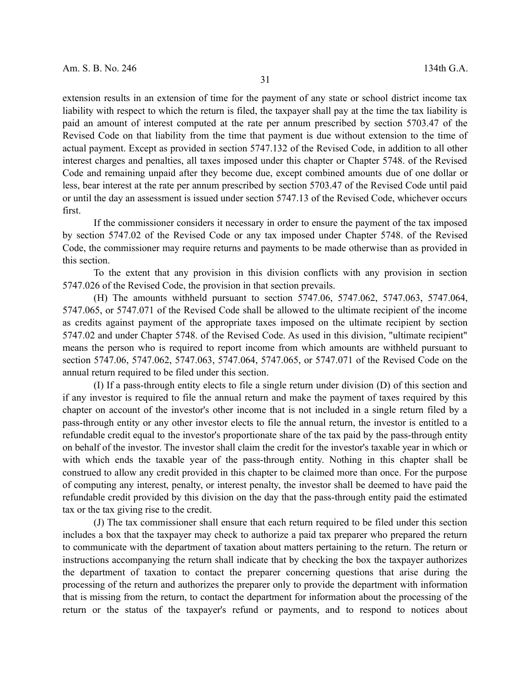extension results in an extension of time for the payment of any state or school district income tax liability with respect to which the return is filed, the taxpayer shall pay at the time the tax liability is paid an amount of interest computed at the rate per annum prescribed by section 5703.47 of the Revised Code on that liability from the time that payment is due without extension to the time of actual payment. Except as provided in section 5747.132 of the Revised Code, in addition to all other interest charges and penalties, all taxes imposed under this chapter or Chapter 5748. of the Revised Code and remaining unpaid after they become due, except combined amounts due of one dollar or less, bear interest at the rate per annum prescribed by section 5703.47 of the Revised Code until paid or until the day an assessment is issued under section 5747.13 of the Revised Code, whichever occurs first.

If the commissioner considers it necessary in order to ensure the payment of the tax imposed by section 5747.02 of the Revised Code or any tax imposed under Chapter 5748. of the Revised Code, the commissioner may require returns and payments to be made otherwise than as provided in this section.

To the extent that any provision in this division conflicts with any provision in section 5747.026 of the Revised Code, the provision in that section prevails.

(H) The amounts withheld pursuant to section 5747.06, 5747.062, 5747.063, 5747.064, 5747.065, or 5747.071 of the Revised Code shall be allowed to the ultimate recipient of the income as credits against payment of the appropriate taxes imposed on the ultimate recipient by section 5747.02 and under Chapter 5748. of the Revised Code. As used in this division, "ultimate recipient" means the person who is required to report income from which amounts are withheld pursuant to section 5747.06, 5747.062, 5747.063, 5747.064, 5747.065, or 5747.071 of the Revised Code on the annual return required to be filed under this section.

(I) If a pass-through entity elects to file a single return under division (D) of this section and if any investor is required to file the annual return and make the payment of taxes required by this chapter on account of the investor's other income that is not included in a single return filed by a pass-through entity or any other investor elects to file the annual return, the investor is entitled to a refundable credit equal to the investor's proportionate share of the tax paid by the pass-through entity on behalf of the investor. The investor shall claim the credit for the investor's taxable year in which or with which ends the taxable year of the pass-through entity. Nothing in this chapter shall be construed to allow any credit provided in this chapter to be claimed more than once. For the purpose of computing any interest, penalty, or interest penalty, the investor shall be deemed to have paid the refundable credit provided by this division on the day that the pass-through entity paid the estimated tax or the tax giving rise to the credit.

(J) The tax commissioner shall ensure that each return required to be filed under this section includes a box that the taxpayer may check to authorize a paid tax preparer who prepared the return to communicate with the department of taxation about matters pertaining to the return. The return or instructions accompanying the return shall indicate that by checking the box the taxpayer authorizes the department of taxation to contact the preparer concerning questions that arise during the processing of the return and authorizes the preparer only to provide the department with information that is missing from the return, to contact the department for information about the processing of the return or the status of the taxpayer's refund or payments, and to respond to notices about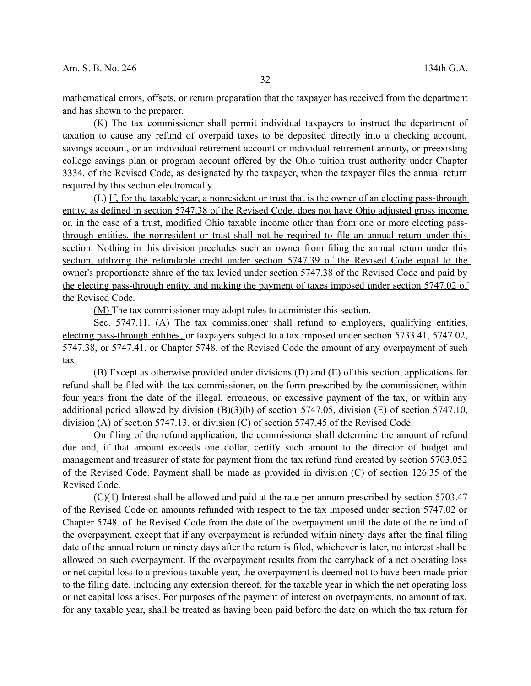mathematical errors, offsets, or return preparation that the taxpayer has received from the department and has shown to the preparer.

(K) The tax commissioner shall permit individual taxpayers to instruct the department of taxation to cause any refund of overpaid taxes to be deposited directly into a checking account, savings account, or an individual retirement account or individual retirement annuity, or preexisting college savings plan or program account offered by the Ohio tuition trust authority under Chapter 3334. of the Revised Code, as designated by the taxpayer, when the taxpayer files the annual return required by this section electronically.

(L) If, for the taxable year, a nonresident or trust that is the owner of an electing pass-through entity, as defined in section 5747.38 of the Revised Code, does not have Ohio adjusted gross income or, in the case of a trust, modified Ohio taxable income other than from one or more electing passthrough entities, the nonresident or trust shall not be required to file an annual return under this section. Nothing in this division precludes such an owner from filing the annual return under this section, utilizing the refundable credit under section 5747.39 of the Revised Code equal to the owner's proportionate share of the tax levied under section 5747.38 of the Revised Code and paid by the electing pass-through entity, and making the payment of taxes imposed under section 5747.02 of the Revised Code.

(M) The tax commissioner may adopt rules to administer this section.

Sec. 5747.11. (A) The tax commissioner shall refund to employers, qualifying entities, electing pass-through entities, or taxpayers subject to a tax imposed under section 5733.41, 5747.02, 5747.38, or 5747.41, or Chapter 5748. of the Revised Code the amount of any overpayment of such tax.

(B) Except as otherwise provided under divisions (D) and (E) of this section, applications for refund shall be filed with the tax commissioner, on the form prescribed by the commissioner, within four years from the date of the illegal, erroneous, or excessive payment of the tax, or within any additional period allowed by division (B)(3)(b) of section 5747.05, division (E) of section 5747.10, division (A) of section 5747.13, or division (C) of section 5747.45 of the Revised Code.

On filing of the refund application, the commissioner shall determine the amount of refund due and, if that amount exceeds one dollar, certify such amount to the director of budget and management and treasurer of state for payment from the tax refund fund created by section 5703.052 of the Revised Code. Payment shall be made as provided in division (C) of section 126.35 of the Revised Code.

(C)(1) Interest shall be allowed and paid at the rate per annum prescribed by section 5703.47 of the Revised Code on amounts refunded with respect to the tax imposed under section 5747.02 or Chapter 5748. of the Revised Code from the date of the overpayment until the date of the refund of the overpayment, except that if any overpayment is refunded within ninety days after the final filing date of the annual return or ninety days after the return is filed, whichever is later, no interest shall be allowed on such overpayment. If the overpayment results from the carryback of a net operating loss or net capital loss to a previous taxable year, the overpayment is deemed not to have been made prior to the filing date, including any extension thereof, for the taxable year in which the net operating loss or net capital loss arises. For purposes of the payment of interest on overpayments, no amount of tax, for any taxable year, shall be treated as having been paid before the date on which the tax return for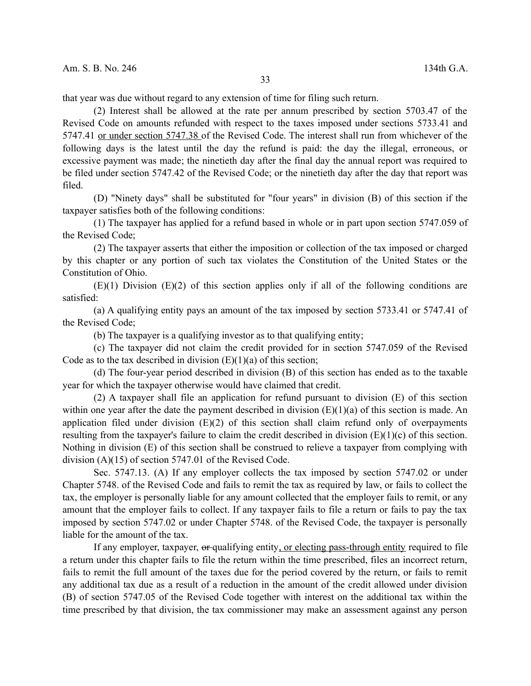that year was due without regard to any extension of time for filing such return.

(2) Interest shall be allowed at the rate per annum prescribed by section 5703.47 of the Revised Code on amounts refunded with respect to the taxes imposed under sections 5733.41 and 5747.41 or under section 5747.38 of the Revised Code. The interest shall run from whichever of the following days is the latest until the day the refund is paid: the day the illegal, erroneous, or excessive payment was made; the ninetieth day after the final day the annual report was required to be filed under section 5747.42 of the Revised Code; or the ninetieth day after the day that report was filed.

(D) "Ninety days" shall be substituted for "four years" in division (B) of this section if the taxpayer satisfies both of the following conditions:

(1) The taxpayer has applied for a refund based in whole or in part upon section 5747.059 of the Revised Code;

(2) The taxpayer asserts that either the imposition or collection of the tax imposed or charged by this chapter or any portion of such tax violates the Constitution of the United States or the Constitution of Ohio.

 $(E)(1)$  Division  $(E)(2)$  of this section applies only if all of the following conditions are satisfied:

(a) A qualifying entity pays an amount of the tax imposed by section 5733.41 or 5747.41 of the Revised Code;

(b) The taxpayer is a qualifying investor as to that qualifying entity;

(c) The taxpayer did not claim the credit provided for in section 5747.059 of the Revised Code as to the tax described in division  $(E)(1)(a)$  of this section;

(d) The four-year period described in division (B) of this section has ended as to the taxable year for which the taxpayer otherwise would have claimed that credit.

(2) A taxpayer shall file an application for refund pursuant to division (E) of this section within one year after the date the payment described in division  $(E)(1)(a)$  of this section is made. An application filed under division (E)(2) of this section shall claim refund only of overpayments resulting from the taxpayer's failure to claim the credit described in division  $(E)(1)(c)$  of this section. Nothing in division (E) of this section shall be construed to relieve a taxpayer from complying with division (A)(15) of section 5747.01 of the Revised Code.

Sec. 5747.13. (A) If any employer collects the tax imposed by section 5747.02 or under Chapter 5748. of the Revised Code and fails to remit the tax as required by law, or fails to collect the tax, the employer is personally liable for any amount collected that the employer fails to remit, or any amount that the employer fails to collect. If any taxpayer fails to file a return or fails to pay the tax imposed by section 5747.02 or under Chapter 5748. of the Revised Code, the taxpayer is personally liable for the amount of the tax.

If any employer, taxpayer, or qualifying entity, or electing pass-through entity required to file a return under this chapter fails to file the return within the time prescribed, files an incorrect return, fails to remit the full amount of the taxes due for the period covered by the return, or fails to remit any additional tax due as a result of a reduction in the amount of the credit allowed under division (B) of section 5747.05 of the Revised Code together with interest on the additional tax within the time prescribed by that division, the tax commissioner may make an assessment against any person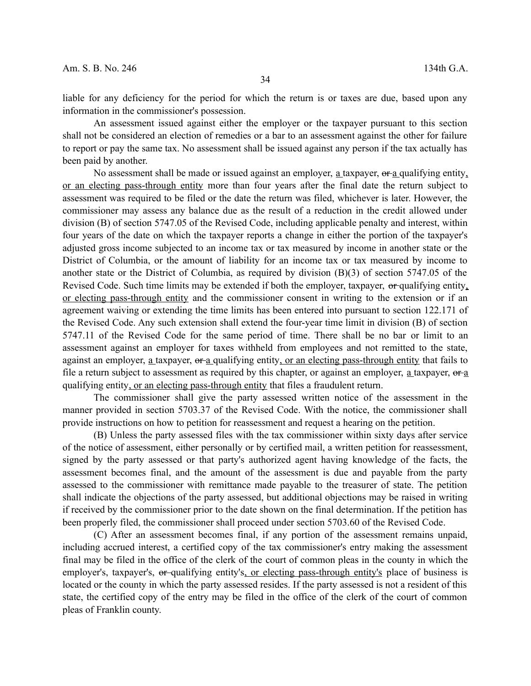liable for any deficiency for the period for which the return is or taxes are due, based upon any information in the commissioner's possession.

An assessment issued against either the employer or the taxpayer pursuant to this section shall not be considered an election of remedies or a bar to an assessment against the other for failure to report or pay the same tax. No assessment shall be issued against any person if the tax actually has been paid by another.

No assessment shall be made or issued against an employer,  $\underline{a}$  taxpayer,  $\theta$ r  $\underline{a}$  qualifying entity, or an electing pass-through entity more than four years after the final date the return subject to assessment was required to be filed or the date the return was filed, whichever is later. However, the commissioner may assess any balance due as the result of a reduction in the credit allowed under division (B) of section 5747.05 of the Revised Code, including applicable penalty and interest, within four years of the date on which the taxpayer reports a change in either the portion of the taxpayer's adjusted gross income subjected to an income tax or tax measured by income in another state or the District of Columbia, or the amount of liability for an income tax or tax measured by income to another state or the District of Columbia, as required by division (B)(3) of section 5747.05 of the Revised Code. Such time limits may be extended if both the employer, taxpayer, or qualifying entity, or electing pass-through entity and the commissioner consent in writing to the extension or if an agreement waiving or extending the time limits has been entered into pursuant to section 122.171 of the Revised Code. Any such extension shall extend the four-year time limit in division (B) of section 5747.11 of the Revised Code for the same period of time. There shall be no bar or limit to an assessment against an employer for taxes withheld from employees and not remitted to the state, against an employer,  $\underline{a}$  taxpayer,  $\underline{a}$  qualifying entity, or an electing pass-through entity that fails to file a return subject to assessment as required by this chapter, or against an employer,  $a$  taxpayer,  $a + a$ qualifying entity, or an electing pass-through entity that files a fraudulent return.

The commissioner shall give the party assessed written notice of the assessment in the manner provided in section 5703.37 of the Revised Code. With the notice, the commissioner shall provide instructions on how to petition for reassessment and request a hearing on the petition.

(B) Unless the party assessed files with the tax commissioner within sixty days after service of the notice of assessment, either personally or by certified mail, a written petition for reassessment, signed by the party assessed or that party's authorized agent having knowledge of the facts, the assessment becomes final, and the amount of the assessment is due and payable from the party assessed to the commissioner with remittance made payable to the treasurer of state. The petition shall indicate the objections of the party assessed, but additional objections may be raised in writing if received by the commissioner prior to the date shown on the final determination. If the petition has been properly filed, the commissioner shall proceed under section 5703.60 of the Revised Code.

(C) After an assessment becomes final, if any portion of the assessment remains unpaid, including accrued interest, a certified copy of the tax commissioner's entry making the assessment final may be filed in the office of the clerk of the court of common pleas in the county in which the employer's, taxpayer's, or qualifying entity's, or electing pass-through entity's place of business is located or the county in which the party assessed resides. If the party assessed is not a resident of this state, the certified copy of the entry may be filed in the office of the clerk of the court of common pleas of Franklin county.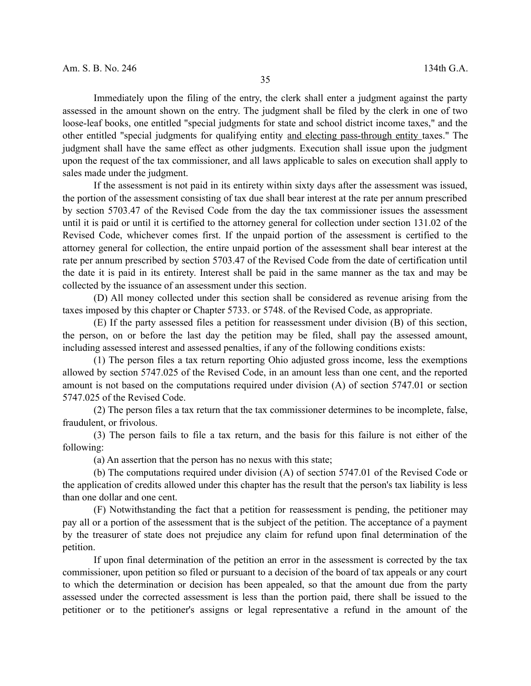Immediately upon the filing of the entry, the clerk shall enter a judgment against the party assessed in the amount shown on the entry. The judgment shall be filed by the clerk in one of two loose-leaf books, one entitled "special judgments for state and school district income taxes," and the other entitled "special judgments for qualifying entity and electing pass-through entity taxes." The judgment shall have the same effect as other judgments. Execution shall issue upon the judgment upon the request of the tax commissioner, and all laws applicable to sales on execution shall apply to sales made under the judgment.

If the assessment is not paid in its entirety within sixty days after the assessment was issued, the portion of the assessment consisting of tax due shall bear interest at the rate per annum prescribed by section 5703.47 of the Revised Code from the day the tax commissioner issues the assessment until it is paid or until it is certified to the attorney general for collection under section 131.02 of the Revised Code, whichever comes first. If the unpaid portion of the assessment is certified to the attorney general for collection, the entire unpaid portion of the assessment shall bear interest at the rate per annum prescribed by section 5703.47 of the Revised Code from the date of certification until the date it is paid in its entirety. Interest shall be paid in the same manner as the tax and may be collected by the issuance of an assessment under this section.

(D) All money collected under this section shall be considered as revenue arising from the taxes imposed by this chapter or Chapter 5733. or 5748. of the Revised Code, as appropriate.

(E) If the party assessed files a petition for reassessment under division (B) of this section, the person, on or before the last day the petition may be filed, shall pay the assessed amount, including assessed interest and assessed penalties, if any of the following conditions exists:

(1) The person files a tax return reporting Ohio adjusted gross income, less the exemptions allowed by section 5747.025 of the Revised Code, in an amount less than one cent, and the reported amount is not based on the computations required under division (A) of section 5747.01 or section 5747.025 of the Revised Code.

(2) The person files a tax return that the tax commissioner determines to be incomplete, false, fraudulent, or frivolous.

(3) The person fails to file a tax return, and the basis for this failure is not either of the following:

(a) An assertion that the person has no nexus with this state;

(b) The computations required under division (A) of section 5747.01 of the Revised Code or the application of credits allowed under this chapter has the result that the person's tax liability is less than one dollar and one cent.

(F) Notwithstanding the fact that a petition for reassessment is pending, the petitioner may pay all or a portion of the assessment that is the subject of the petition. The acceptance of a payment by the treasurer of state does not prejudice any claim for refund upon final determination of the petition.

If upon final determination of the petition an error in the assessment is corrected by the tax commissioner, upon petition so filed or pursuant to a decision of the board of tax appeals or any court to which the determination or decision has been appealed, so that the amount due from the party assessed under the corrected assessment is less than the portion paid, there shall be issued to the petitioner or to the petitioner's assigns or legal representative a refund in the amount of the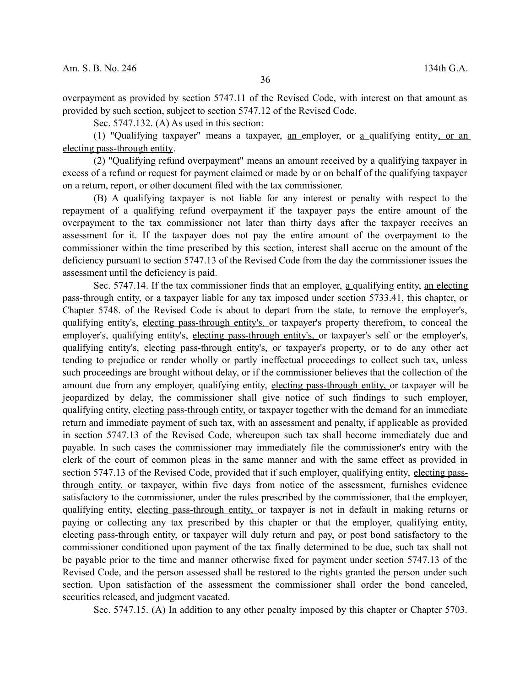overpayment as provided by section 5747.11 of the Revised Code, with interest on that amount as provided by such section, subject to section 5747.12 of the Revised Code.

Sec. 5747.132. (A) As used in this section:

(1) "Qualifying taxpayer" means a taxpayer, an employer,  $\theta$  a qualifying entity, or an electing pass-through entity.

(2) "Qualifying refund overpayment" means an amount received by a qualifying taxpayer in excess of a refund or request for payment claimed or made by or on behalf of the qualifying taxpayer on a return, report, or other document filed with the tax commissioner.

(B) A qualifying taxpayer is not liable for any interest or penalty with respect to the repayment of a qualifying refund overpayment if the taxpayer pays the entire amount of the overpayment to the tax commissioner not later than thirty days after the taxpayer receives an assessment for it. If the taxpayer does not pay the entire amount of the overpayment to the commissioner within the time prescribed by this section, interest shall accrue on the amount of the deficiency pursuant to section 5747.13 of the Revised Code from the day the commissioner issues the assessment until the deficiency is paid.

Sec. 5747.14. If the tax commissioner finds that an employer, a qualifying entity, an electing pass-through entity, or a taxpayer liable for any tax imposed under section 5733.41, this chapter, or Chapter 5748. of the Revised Code is about to depart from the state, to remove the employer's, qualifying entity's, electing pass-through entity's, or taxpayer's property therefrom, to conceal the employer's, qualifying entity's, electing pass-through entity's, or taxpayer's self or the employer's, qualifying entity's, electing pass-through entity's, or taxpayer's property, or to do any other act tending to prejudice or render wholly or partly ineffectual proceedings to collect such tax, unless such proceedings are brought without delay, or if the commissioner believes that the collection of the amount due from any employer, qualifying entity, electing pass-through entity, or taxpayer will be jeopardized by delay, the commissioner shall give notice of such findings to such employer, qualifying entity, electing pass-through entity, or taxpayer together with the demand for an immediate return and immediate payment of such tax, with an assessment and penalty, if applicable as provided in section 5747.13 of the Revised Code, whereupon such tax shall become immediately due and payable. In such cases the commissioner may immediately file the commissioner's entry with the clerk of the court of common pleas in the same manner and with the same effect as provided in section 5747.13 of the Revised Code, provided that if such employer, qualifying entity, electing passthrough entity, or taxpayer, within five days from notice of the assessment, furnishes evidence satisfactory to the commissioner, under the rules prescribed by the commissioner, that the employer, qualifying entity, electing pass-through entity, or taxpayer is not in default in making returns or paying or collecting any tax prescribed by this chapter or that the employer, qualifying entity, electing pass-through entity, or taxpayer will duly return and pay, or post bond satisfactory to the commissioner conditioned upon payment of the tax finally determined to be due, such tax shall not be payable prior to the time and manner otherwise fixed for payment under section 5747.13 of the Revised Code, and the person assessed shall be restored to the rights granted the person under such section. Upon satisfaction of the assessment the commissioner shall order the bond canceled, securities released, and judgment vacated.

Sec. 5747.15. (A) In addition to any other penalty imposed by this chapter or Chapter 5703.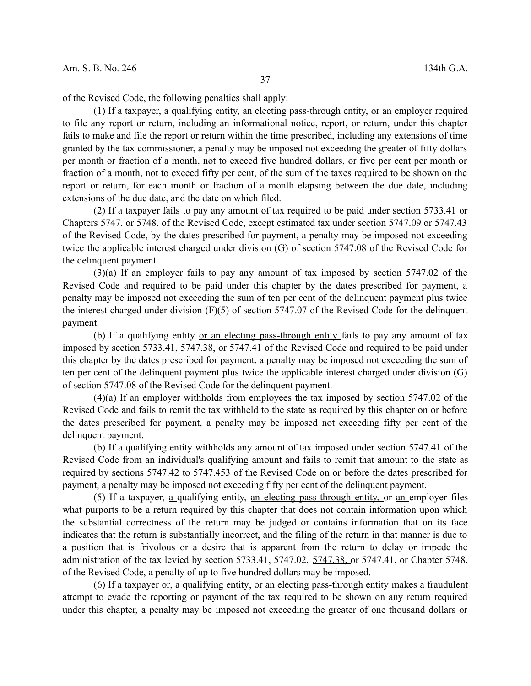of the Revised Code, the following penalties shall apply:

(1) If a taxpayer,  $\underline{a}$  qualifying entity, an electing pass-through entity, or an employer required to file any report or return, including an informational notice, report, or return, under this chapter fails to make and file the report or return within the time prescribed, including any extensions of time granted by the tax commissioner, a penalty may be imposed not exceeding the greater of fifty dollars per month or fraction of a month, not to exceed five hundred dollars, or five per cent per month or fraction of a month, not to exceed fifty per cent, of the sum of the taxes required to be shown on the report or return, for each month or fraction of a month elapsing between the due date, including extensions of the due date, and the date on which filed.

(2) If a taxpayer fails to pay any amount of tax required to be paid under section 5733.41 or Chapters 5747. or 5748. of the Revised Code, except estimated tax under section 5747.09 or 5747.43 of the Revised Code, by the dates prescribed for payment, a penalty may be imposed not exceeding twice the applicable interest charged under division (G) of section 5747.08 of the Revised Code for the delinquent payment.

(3)(a) If an employer fails to pay any amount of tax imposed by section 5747.02 of the Revised Code and required to be paid under this chapter by the dates prescribed for payment, a penalty may be imposed not exceeding the sum of ten per cent of the delinquent payment plus twice the interest charged under division (F)(5) of section 5747.07 of the Revised Code for the delinquent payment.

(b) If a qualifying entity or an electing pass-through entity fails to pay any amount of tax imposed by section 5733.41, 5747.38, or 5747.41 of the Revised Code and required to be paid under this chapter by the dates prescribed for payment, a penalty may be imposed not exceeding the sum of ten per cent of the delinquent payment plus twice the applicable interest charged under division (G) of section 5747.08 of the Revised Code for the delinquent payment.

(4)(a) If an employer withholds from employees the tax imposed by section 5747.02 of the Revised Code and fails to remit the tax withheld to the state as required by this chapter on or before the dates prescribed for payment, a penalty may be imposed not exceeding fifty per cent of the delinquent payment.

(b) If a qualifying entity withholds any amount of tax imposed under section 5747.41 of the Revised Code from an individual's qualifying amount and fails to remit that amount to the state as required by sections 5747.42 to 5747.453 of the Revised Code on or before the dates prescribed for payment, a penalty may be imposed not exceeding fifty per cent of the delinquent payment.

(5) If a taxpayer, a qualifying entity, an electing pass-through entity, or an employer files what purports to be a return required by this chapter that does not contain information upon which the substantial correctness of the return may be judged or contains information that on its face indicates that the return is substantially incorrect, and the filing of the return in that manner is due to a position that is frivolous or a desire that is apparent from the return to delay or impede the administration of the tax levied by section 5733.41, 5747.02, 5747.38, or 5747.41, or Chapter 5748. of the Revised Code, a penalty of up to five hundred dollars may be imposed.

(6) If a taxpayer- $\sigma$ r, a qualifying entity, or an electing pass-through entity makes a fraudulent attempt to evade the reporting or payment of the tax required to be shown on any return required under this chapter, a penalty may be imposed not exceeding the greater of one thousand dollars or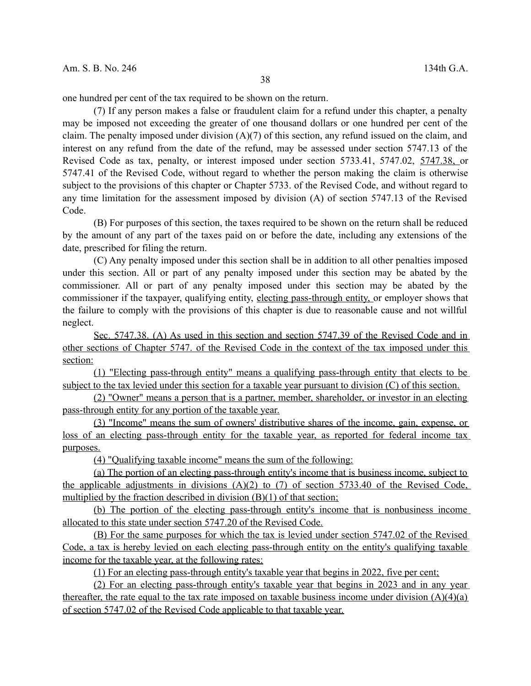38

one hundred per cent of the tax required to be shown on the return.

(7) If any person makes a false or fraudulent claim for a refund under this chapter, a penalty may be imposed not exceeding the greater of one thousand dollars or one hundred per cent of the claim. The penalty imposed under division  $(A)(7)$  of this section, any refund issued on the claim, and interest on any refund from the date of the refund, may be assessed under section 5747.13 of the Revised Code as tax, penalty, or interest imposed under section 5733.41, 5747.02, 5747.38, or 5747.41 of the Revised Code, without regard to whether the person making the claim is otherwise subject to the provisions of this chapter or Chapter 5733. of the Revised Code, and without regard to any time limitation for the assessment imposed by division (A) of section 5747.13 of the Revised Code.

(B) For purposes of this section, the taxes required to be shown on the return shall be reduced by the amount of any part of the taxes paid on or before the date, including any extensions of the date, prescribed for filing the return.

(C) Any penalty imposed under this section shall be in addition to all other penalties imposed under this section. All or part of any penalty imposed under this section may be abated by the commissioner. All or part of any penalty imposed under this section may be abated by the commissioner if the taxpayer, qualifying entity, electing pass-through entity, or employer shows that the failure to comply with the provisions of this chapter is due to reasonable cause and not willful neglect.

 Sec. 5747.38. (A) As used in this section and section 5747.39 of the Revised Code and in other sections of Chapter 5747. of the Revised Code in the context of the tax imposed under this section:

(1) "Electing pass-through entity" means a qualifying pass-through entity that elects to be subject to the tax levied under this section for a taxable year pursuant to division (C) of this section.

(2) "Owner" means a person that is a partner, member, shareholder, or investor in an electing pass-through entity for any portion of the taxable year.

(3) "Income" means the sum of owners' distributive shares of the income, gain, expense, or loss of an electing pass-through entity for the taxable year, as reported for federal income tax purposes.

(4) "Qualifying taxable income" means the sum of the following:

(a) The portion of an electing pass-through entity's income that is business income, subject to the applicable adjustments in divisions  $(A)(2)$  to  $(7)$  of section 5733.40 of the Revised Code, multiplied by the fraction described in division  $(B)(1)$  of that section;

(b) The portion of the electing pass-through entity's income that is nonbusiness income allocated to this state under section 5747.20 of the Revised Code.

(B) For the same purposes for which the tax is levied under section 5747.02 of the Revised Code, a tax is hereby levied on each electing pass-through entity on the entity's qualifying taxable income for the taxable year, at the following rates:

(1) For an electing pass-through entity's taxable year that begins in 2022, five per cent;

(2) For an electing pass-through entity's taxable year that begins in 2023 and in any year thereafter, the rate equal to the tax rate imposed on taxable business income under division  $(A)(4)(a)$ of section 5747.02 of the Revised Code applicable to that taxable year.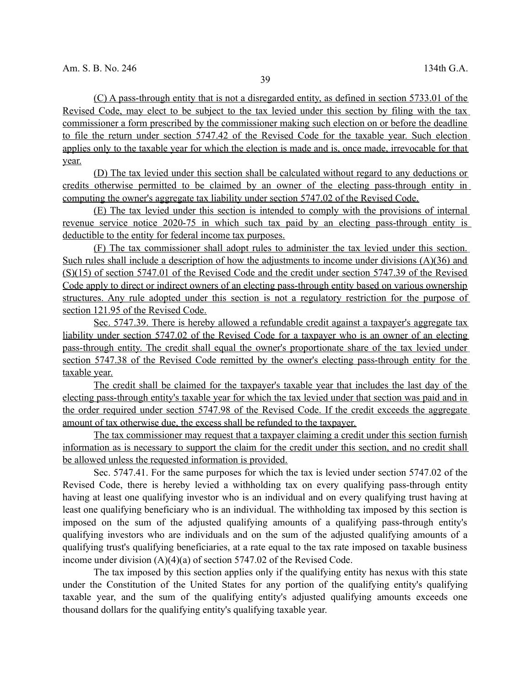(C) A pass-through entity that is not a disregarded entity, as defined in section 5733.01 of the Revised Code, may elect to be subject to the tax levied under this section by filing with the tax commissioner a form prescribed by the commissioner making such election on or before the deadline to file the return under section 5747.42 of the Revised Code for the taxable year. Such election applies only to the taxable year for which the election is made and is, once made, irrevocable for that year.

(D) The tax levied under this section shall be calculated without regard to any deductions or credits otherwise permitted to be claimed by an owner of the electing pass-through entity in computing the owner's aggregate tax liability under section 5747.02 of the Revised Code.

(E) The tax levied under this section is intended to comply with the provisions of internal revenue service notice 2020-75 in which such tax paid by an electing pass-through entity is deductible to the entity for federal income tax purposes.

(F) The tax commissioner shall adopt rules to administer the tax levied under this section. Such rules shall include a description of how the adjustments to income under divisions (A)(36) and (S)(15) of section 5747.01 of the Revised Code and the credit under section 5747.39 of the Revised Code apply to direct or indirect owners of an electing pass-through entity based on various ownership structures. Any rule adopted under this section is not a regulatory restriction for the purpose of section 121.95 of the Revised Code.

 Sec. 5747.39. There is hereby allowed a refundable credit against a taxpayer's aggregate tax liability under section 5747.02 of the Revised Code for a taxpayer who is an owner of an electing pass-through entity. The credit shall equal the owner's proportionate share of the tax levied under section 5747.38 of the Revised Code remitted by the owner's electing pass-through entity for the taxable year.

The credit shall be claimed for the taxpayer's taxable year that includes the last day of the electing pass-through entity's taxable year for which the tax levied under that section was paid and in the order required under section 5747.98 of the Revised Code. If the credit exceeds the aggregate amount of tax otherwise due, the excess shall be refunded to the taxpayer.

The tax commissioner may request that a taxpayer claiming a credit under this section furnish information as is necessary to support the claim for the credit under this section, and no credit shall be allowed unless the requested information is provided.

Sec. 5747.41. For the same purposes for which the tax is levied under section 5747.02 of the Revised Code, there is hereby levied a withholding tax on every qualifying pass-through entity having at least one qualifying investor who is an individual and on every qualifying trust having at least one qualifying beneficiary who is an individual. The withholding tax imposed by this section is imposed on the sum of the adjusted qualifying amounts of a qualifying pass-through entity's qualifying investors who are individuals and on the sum of the adjusted qualifying amounts of a qualifying trust's qualifying beneficiaries, at a rate equal to the tax rate imposed on taxable business income under division (A)(4)(a) of section 5747.02 of the Revised Code.

The tax imposed by this section applies only if the qualifying entity has nexus with this state under the Constitution of the United States for any portion of the qualifying entity's qualifying taxable year, and the sum of the qualifying entity's adjusted qualifying amounts exceeds one thousand dollars for the qualifying entity's qualifying taxable year.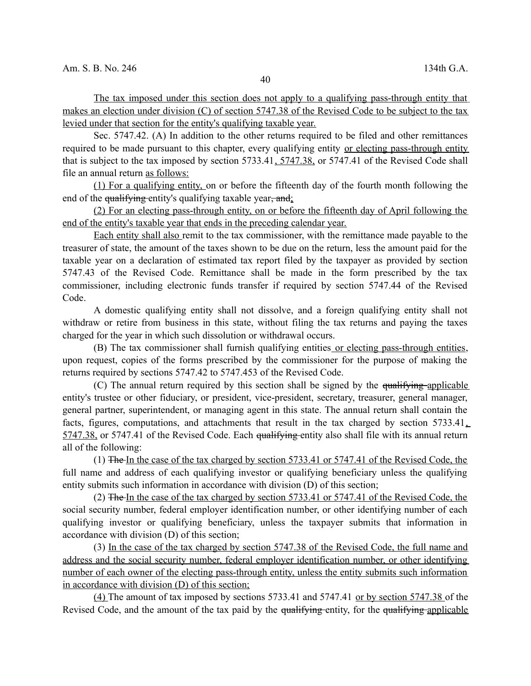The tax imposed under this section does not apply to a qualifying pass-through entity that makes an election under division (C) of section 5747.38 of the Revised Code to be subject to the tax levied under that section for the entity's qualifying taxable year.

Sec. 5747.42. (A) In addition to the other returns required to be filed and other remittances required to be made pursuant to this chapter, every qualifying entity or electing pass-through entity that is subject to the tax imposed by section 5733.41, 5747.38, or 5747.41 of the Revised Code shall file an annual return as follows:

(1) For a qualifying entity, on or before the fifteenth day of the fourth month following the end of the qualifying entity's qualifying taxable year, and;

(2) For an electing pass-through entity, on or before the fifteenth day of April following the end of the entity's taxable year that ends in the preceding calendar year.

Each entity shall also remit to the tax commissioner, with the remittance made payable to the treasurer of state, the amount of the taxes shown to be due on the return, less the amount paid for the taxable year on a declaration of estimated tax report filed by the taxpayer as provided by section 5747.43 of the Revised Code. Remittance shall be made in the form prescribed by the tax commissioner, including electronic funds transfer if required by section 5747.44 of the Revised Code.

A domestic qualifying entity shall not dissolve, and a foreign qualifying entity shall not withdraw or retire from business in this state, without filing the tax returns and paying the taxes charged for the year in which such dissolution or withdrawal occurs.

(B) The tax commissioner shall furnish qualifying entities or electing pass-through entities, upon request, copies of the forms prescribed by the commissioner for the purpose of making the returns required by sections 5747.42 to 5747.453 of the Revised Code.

(C) The annual return required by this section shall be signed by the qualifying applicable entity's trustee or other fiduciary, or president, vice-president, secretary, treasurer, general manager, general partner, superintendent, or managing agent in this state. The annual return shall contain the facts, figures, computations, and attachments that result in the tax charged by section 5733.41 5747.38, or 5747.41 of the Revised Code. Each qualifying entity also shall file with its annual return all of the following:

(1) The In the case of the tax charged by section 5733.41 or 5747.41 of the Revised Code, the full name and address of each qualifying investor or qualifying beneficiary unless the qualifying entity submits such information in accordance with division (D) of this section;

(2) The In the case of the tax charged by section 5733.41 or 5747.41 of the Revised Code, the social security number, federal employer identification number, or other identifying number of each qualifying investor or qualifying beneficiary, unless the taxpayer submits that information in accordance with division (D) of this section;

(3) In the case of the tax charged by section 5747.38 of the Revised Code, the full name and address and the social security number, federal employer identification number, or other identifying number of each owner of the electing pass-through entity, unless the entity submits such information in accordance with division (D) of this section;

(4) The amount of tax imposed by sections 5733.41 and 5747.41 or by section 5747.38 of the Revised Code, and the amount of the tax paid by the qualifying entity, for the qualifying applicable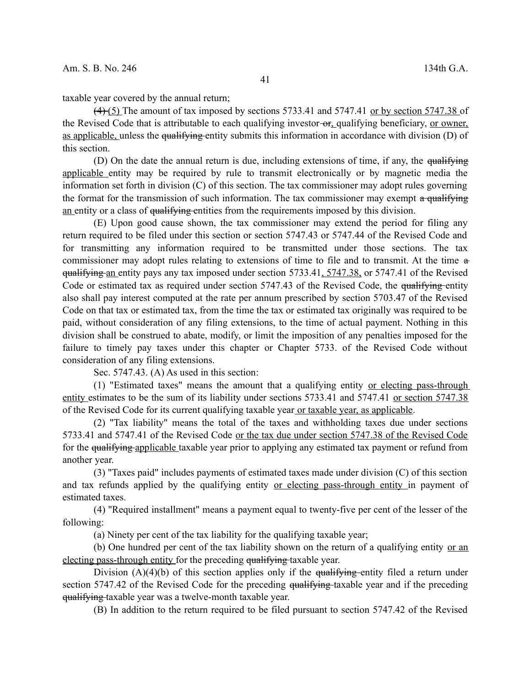taxable year covered by the annual return;

 $(4)$  (5) The amount of tax imposed by sections 5733.41 and 5747.41 or by section 5747.38 of the Revised Code that is attributable to each qualifying investor-or, qualifying beneficiary, or owner, as applicable, unless the qualifying entity submits this information in accordance with division (D) of this section.

(D) On the date the annual return is due, including extensions of time, if any, the  $qualitying$ applicable entity may be required by rule to transmit electronically or by magnetic media the information set forth in division (C) of this section. The tax commissioner may adopt rules governing the format for the transmission of such information. The tax commissioner may exempt  $\alpha$  qualifying an entity or a class of qualifying entities from the requirements imposed by this division.

(E) Upon good cause shown, the tax commissioner may extend the period for filing any return required to be filed under this section or section 5747.43 or 5747.44 of the Revised Code and for transmitting any information required to be transmitted under those sections. The tax commissioner may adopt rules relating to extensions of time to file and to transmit. At the time a qualifying an entity pays any tax imposed under section 5733.41, 5747.38, or 5747.41 of the Revised Code or estimated tax as required under section 5747.43 of the Revised Code, the qualifying entity also shall pay interest computed at the rate per annum prescribed by section 5703.47 of the Revised Code on that tax or estimated tax, from the time the tax or estimated tax originally was required to be paid, without consideration of any filing extensions, to the time of actual payment. Nothing in this division shall be construed to abate, modify, or limit the imposition of any penalties imposed for the failure to timely pay taxes under this chapter or Chapter 5733. of the Revised Code without consideration of any filing extensions.

Sec. 5747.43. (A) As used in this section:

(1) "Estimated taxes" means the amount that a qualifying entity or electing pass-through entity estimates to be the sum of its liability under sections 5733.41 and 5747.41 or section 5747.38 of the Revised Code for its current qualifying taxable year or taxable year, as applicable.

(2) "Tax liability" means the total of the taxes and withholding taxes due under sections 5733.41 and 5747.41 of the Revised Code or the tax due under section 5747.38 of the Revised Code for the qualifying applicable taxable year prior to applying any estimated tax payment or refund from another year.

(3) "Taxes paid" includes payments of estimated taxes made under division (C) of this section and tax refunds applied by the qualifying entity or electing pass-through entity in payment of estimated taxes.

(4) "Required installment" means a payment equal to twenty-five per cent of the lesser of the following:

(a) Ninety per cent of the tax liability for the qualifying taxable year;

(b) One hundred per cent of the tax liability shown on the return of a qualifying entity or an electing pass-through entity for the preceding qualifying taxable year.

Division  $(A)(4)(b)$  of this section applies only if the qualifying-entity filed a return under section 5747.42 of the Revised Code for the preceding qualifying taxable year and if the preceding qualifying taxable year was a twelve-month taxable year.

(B) In addition to the return required to be filed pursuant to section 5747.42 of the Revised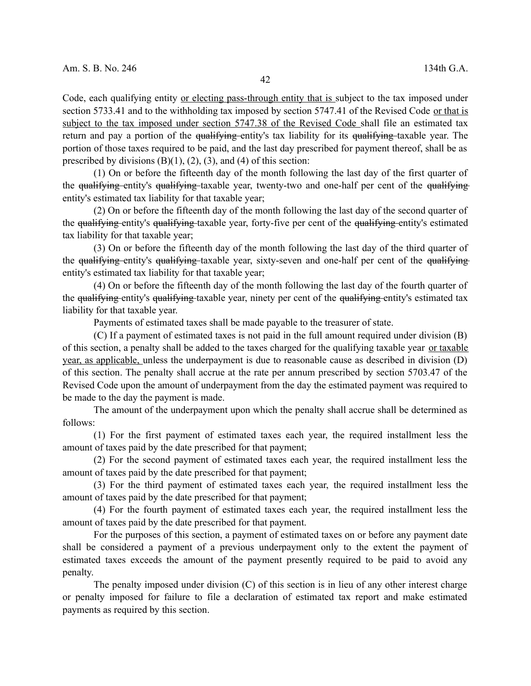Code, each qualifying entity or electing pass-through entity that is subject to the tax imposed under section 5733.41 and to the withholding tax imposed by section 5747.41 of the Revised Code or that is subject to the tax imposed under section 5747.38 of the Revised Code shall file an estimated tax return and pay a portion of the qualifying entity's tax liability for its qualifying taxable year. The portion of those taxes required to be paid, and the last day prescribed for payment thereof, shall be as prescribed by divisions  $(B)(1)$ ,  $(2)$ ,  $(3)$ , and  $(4)$  of this section:

(1) On or before the fifteenth day of the month following the last day of the first quarter of the qualifying entity's qualifying taxable year, twenty-two and one-half per cent of the qualifying entity's estimated tax liability for that taxable year;

(2) On or before the fifteenth day of the month following the last day of the second quarter of the qualifying entity's qualifying taxable year, forty-five per cent of the qualifying entity's estimated tax liability for that taxable year;

(3) On or before the fifteenth day of the month following the last day of the third quarter of the qualifying entity's qualifying taxable year, sixty-seven and one-half per cent of the qualifying entity's estimated tax liability for that taxable year;

(4) On or before the fifteenth day of the month following the last day of the fourth quarter of the qualifying entity's qualifying taxable year, ninety per cent of the qualifying entity's estimated tax liability for that taxable year.

Payments of estimated taxes shall be made payable to the treasurer of state.

(C) If a payment of estimated taxes is not paid in the full amount required under division (B) of this section, a penalty shall be added to the taxes charged for the qualifying taxable year or taxable year, as applicable, unless the underpayment is due to reasonable cause as described in division (D) of this section. The penalty shall accrue at the rate per annum prescribed by section 5703.47 of the Revised Code upon the amount of underpayment from the day the estimated payment was required to be made to the day the payment is made.

The amount of the underpayment upon which the penalty shall accrue shall be determined as follows:

(1) For the first payment of estimated taxes each year, the required installment less the amount of taxes paid by the date prescribed for that payment;

(2) For the second payment of estimated taxes each year, the required installment less the amount of taxes paid by the date prescribed for that payment;

(3) For the third payment of estimated taxes each year, the required installment less the amount of taxes paid by the date prescribed for that payment;

(4) For the fourth payment of estimated taxes each year, the required installment less the amount of taxes paid by the date prescribed for that payment.

For the purposes of this section, a payment of estimated taxes on or before any payment date shall be considered a payment of a previous underpayment only to the extent the payment of estimated taxes exceeds the amount of the payment presently required to be paid to avoid any penalty.

The penalty imposed under division (C) of this section is in lieu of any other interest charge or penalty imposed for failure to file a declaration of estimated tax report and make estimated payments as required by this section.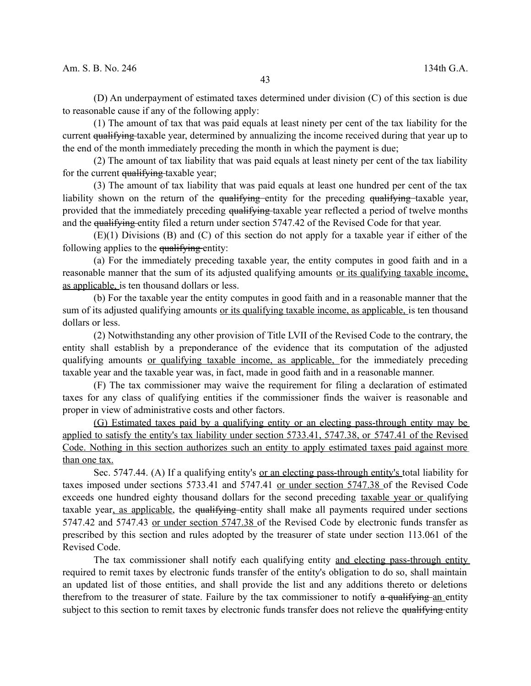(D) An underpayment of estimated taxes determined under division (C) of this section is due to reasonable cause if any of the following apply:

(1) The amount of tax that was paid equals at least ninety per cent of the tax liability for the current <del>qualifying t</del>axable year, determined by annualizing the income received during that year up to the end of the month immediately preceding the month in which the payment is due;

(2) The amount of tax liability that was paid equals at least ninety per cent of the tax liability for the current qualifying taxable year;

(3) The amount of tax liability that was paid equals at least one hundred per cent of the tax liability shown on the return of the  $qualifying$ -entity for the preceding  $qualifying$ -taxable year, provided that the immediately preceding qualifying taxable year reflected a period of twelve months and the qualifying entity filed a return under section 5747.42 of the Revised Code for that year.

(E)(1) Divisions (B) and (C) of this section do not apply for a taxable year if either of the following applies to the qualifying-entity:

(a) For the immediately preceding taxable year, the entity computes in good faith and in a reasonable manner that the sum of its adjusted qualifying amounts or its qualifying taxable income, as applicable, is ten thousand dollars or less.

(b) For the taxable year the entity computes in good faith and in a reasonable manner that the sum of its adjusted qualifying amounts or its qualifying taxable income, as applicable, is ten thousand dollars or less.

(2) Notwithstanding any other provision of Title LVII of the Revised Code to the contrary, the entity shall establish by a preponderance of the evidence that its computation of the adjusted qualifying amounts or qualifying taxable income, as applicable, for the immediately preceding taxable year and the taxable year was, in fact, made in good faith and in a reasonable manner.

(F) The tax commissioner may waive the requirement for filing a declaration of estimated taxes for any class of qualifying entities if the commissioner finds the waiver is reasonable and proper in view of administrative costs and other factors.

(G) Estimated taxes paid by a qualifying entity or an electing pass-through entity may be applied to satisfy the entity's tax liability under section 5733.41, 5747.38, or 5747.41 of the Revised Code. Nothing in this section authorizes such an entity to apply estimated taxes paid against more than one tax.

Sec. 5747.44. (A) If a qualifying entity's <u>or an electing pass-through entity's</u> total liability for taxes imposed under sections 5733.41 and 5747.41 or under section 5747.38 of the Revised Code exceeds one hundred eighty thousand dollars for the second preceding taxable year or qualifying taxable year, as applicable, the qualifying entity shall make all payments required under sections 5747.42 and 5747.43 or under section 5747.38 of the Revised Code by electronic funds transfer as prescribed by this section and rules adopted by the treasurer of state under section 113.061 of the Revised Code.

The tax commissioner shall notify each qualifying entity and electing pass-through entity required to remit taxes by electronic funds transfer of the entity's obligation to do so, shall maintain an updated list of those entities, and shall provide the list and any additions thereto or deletions therefrom to the treasurer of state. Failure by the tax commissioner to notify  $\alpha$  qualifying an entity subject to this section to remit taxes by electronic funds transfer does not relieve the qualifying entity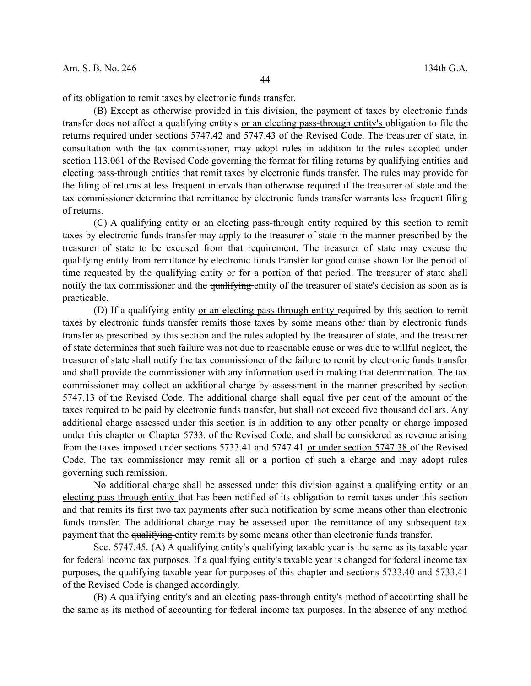of its obligation to remit taxes by electronic funds transfer.

(B) Except as otherwise provided in this division, the payment of taxes by electronic funds transfer does not affect a qualifying entity's or an electing pass-through entity's obligation to file the returns required under sections 5747.42 and 5747.43 of the Revised Code. The treasurer of state, in consultation with the tax commissioner, may adopt rules in addition to the rules adopted under section 113.061 of the Revised Code governing the format for filing returns by qualifying entities and electing pass-through entities that remit taxes by electronic funds transfer. The rules may provide for the filing of returns at less frequent intervals than otherwise required if the treasurer of state and the tax commissioner determine that remittance by electronic funds transfer warrants less frequent filing of returns.

(C) A qualifying entity or an electing pass-through entity required by this section to remit taxes by electronic funds transfer may apply to the treasurer of state in the manner prescribed by the treasurer of state to be excused from that requirement. The treasurer of state may excuse the qualifying entity from remittance by electronic funds transfer for good cause shown for the period of time requested by the qualifying entity or for a portion of that period. The treasurer of state shall notify the tax commissioner and the qualifying entity of the treasurer of state's decision as soon as is practicable.

(D) If a qualifying entity or an electing pass-through entity required by this section to remit taxes by electronic funds transfer remits those taxes by some means other than by electronic funds transfer as prescribed by this section and the rules adopted by the treasurer of state, and the treasurer of state determines that such failure was not due to reasonable cause or was due to willful neglect, the treasurer of state shall notify the tax commissioner of the failure to remit by electronic funds transfer and shall provide the commissioner with any information used in making that determination. The tax commissioner may collect an additional charge by assessment in the manner prescribed by section 5747.13 of the Revised Code. The additional charge shall equal five per cent of the amount of the taxes required to be paid by electronic funds transfer, but shall not exceed five thousand dollars. Any additional charge assessed under this section is in addition to any other penalty or charge imposed under this chapter or Chapter 5733. of the Revised Code, and shall be considered as revenue arising from the taxes imposed under sections 5733.41 and 5747.41 or under section 5747.38 of the Revised Code. The tax commissioner may remit all or a portion of such a charge and may adopt rules governing such remission.

No additional charge shall be assessed under this division against a qualifying entity or an electing pass-through entity that has been notified of its obligation to remit taxes under this section and that remits its first two tax payments after such notification by some means other than electronic funds transfer. The additional charge may be assessed upon the remittance of any subsequent tax payment that the qualifying entity remits by some means other than electronic funds transfer.

Sec. 5747.45. (A) A qualifying entity's qualifying taxable year is the same as its taxable year for federal income tax purposes. If a qualifying entity's taxable year is changed for federal income tax purposes, the qualifying taxable year for purposes of this chapter and sections 5733.40 and 5733.41 of the Revised Code is changed accordingly.

(B) A qualifying entity's and an electing pass-through entity's method of accounting shall be the same as its method of accounting for federal income tax purposes. In the absence of any method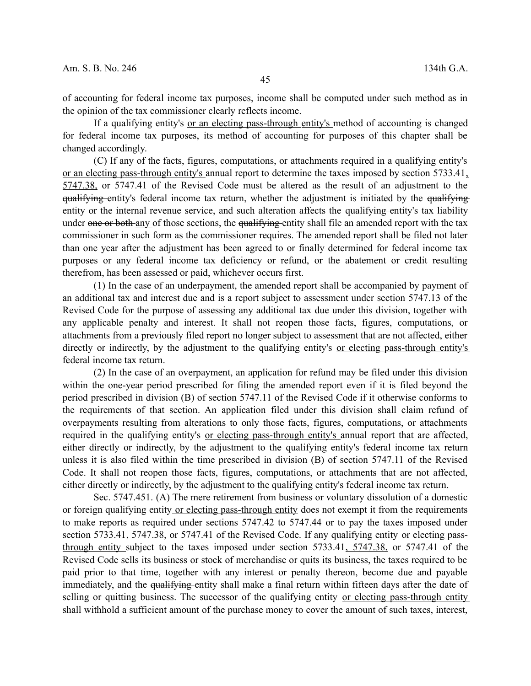of accounting for federal income tax purposes, income shall be computed under such method as in the opinion of the tax commissioner clearly reflects income.

If a qualifying entity's or an electing pass-through entity's method of accounting is changed for federal income tax purposes, its method of accounting for purposes of this chapter shall be changed accordingly.

(C) If any of the facts, figures, computations, or attachments required in a qualifying entity's or an electing pass-through entity's annual report to determine the taxes imposed by section 5733.41, 5747.38, or 5747.41 of the Revised Code must be altered as the result of an adjustment to the qualifying entity's federal income tax return, whether the adjustment is initiated by the qualifying entity or the internal revenue service, and such alteration affects the qualifying entity's tax liability under one or both any of those sections, the qualifying entity shall file an amended report with the tax commissioner in such form as the commissioner requires. The amended report shall be filed not later than one year after the adjustment has been agreed to or finally determined for federal income tax purposes or any federal income tax deficiency or refund, or the abatement or credit resulting therefrom, has been assessed or paid, whichever occurs first.

(1) In the case of an underpayment, the amended report shall be accompanied by payment of an additional tax and interest due and is a report subject to assessment under section 5747.13 of the Revised Code for the purpose of assessing any additional tax due under this division, together with any applicable penalty and interest. It shall not reopen those facts, figures, computations, or attachments from a previously filed report no longer subject to assessment that are not affected, either directly or indirectly, by the adjustment to the qualifying entity's <u>or electing pass-through entity's</u> federal income tax return.

(2) In the case of an overpayment, an application for refund may be filed under this division within the one-year period prescribed for filing the amended report even if it is filed beyond the period prescribed in division (B) of section 5747.11 of the Revised Code if it otherwise conforms to the requirements of that section. An application filed under this division shall claim refund of overpayments resulting from alterations to only those facts, figures, computations, or attachments required in the qualifying entity's or electing pass-through entity's annual report that are affected, either directly or indirectly, by the adjustment to the qualifying entity's federal income tax return unless it is also filed within the time prescribed in division (B) of section 5747.11 of the Revised Code. It shall not reopen those facts, figures, computations, or attachments that are not affected, either directly or indirectly, by the adjustment to the qualifying entity's federal income tax return.

Sec. 5747.451. (A) The mere retirement from business or voluntary dissolution of a domestic or foreign qualifying entity or electing pass-through entity does not exempt it from the requirements to make reports as required under sections 5747.42 to 5747.44 or to pay the taxes imposed under section 5733.41, 5747.38, or 5747.41 of the Revised Code. If any qualifying entity or electing passthrough entity subject to the taxes imposed under section 5733.41, 5747.38, or 5747.41 of the Revised Code sells its business or stock of merchandise or quits its business, the taxes required to be paid prior to that time, together with any interest or penalty thereon, become due and payable immediately, and the qualifying entity shall make a final return within fifteen days after the date of selling or quitting business. The successor of the qualifying entity or electing pass-through entity shall withhold a sufficient amount of the purchase money to cover the amount of such taxes, interest,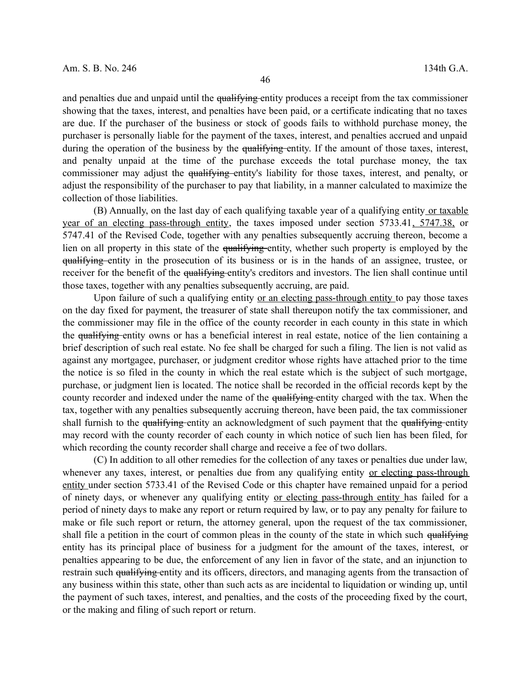and penalties due and unpaid until the qualifying entity produces a receipt from the tax commissioner showing that the taxes, interest, and penalties have been paid, or a certificate indicating that no taxes are due. If the purchaser of the business or stock of goods fails to withhold purchase money, the purchaser is personally liable for the payment of the taxes, interest, and penalties accrued and unpaid during the operation of the business by the qualifying entity. If the amount of those taxes, interest, and penalty unpaid at the time of the purchase exceeds the total purchase money, the tax commissioner may adjust the qualifying entity's liability for those taxes, interest, and penalty, or adjust the responsibility of the purchaser to pay that liability, in a manner calculated to maximize the collection of those liabilities.

(B) Annually, on the last day of each qualifying taxable year of a qualifying entity or taxable year of an electing pass-through entity, the taxes imposed under section 5733.41, 5747.38, or 5747.41 of the Revised Code, together with any penalties subsequently accruing thereon, become a lien on all property in this state of the qualifying entity, whether such property is employed by the qualifying entity in the prosecution of its business or is in the hands of an assignee, trustee, or receiver for the benefit of the qualifying entity's creditors and investors. The lien shall continue until those taxes, together with any penalties subsequently accruing, are paid.

Upon failure of such a qualifying entity <u>or an electing pass-through entity</u> to pay those taxes on the day fixed for payment, the treasurer of state shall thereupon notify the tax commissioner, and the commissioner may file in the office of the county recorder in each county in this state in which the qualifying entity owns or has a beneficial interest in real estate, notice of the lien containing a brief description of such real estate. No fee shall be charged for such a filing. The lien is not valid as against any mortgagee, purchaser, or judgment creditor whose rights have attached prior to the time the notice is so filed in the county in which the real estate which is the subject of such mortgage, purchase, or judgment lien is located. The notice shall be recorded in the official records kept by the county recorder and indexed under the name of the qualifying entity charged with the tax. When the tax, together with any penalties subsequently accruing thereon, have been paid, the tax commissioner shall furnish to the qualifying entity an acknowledgment of such payment that the qualifying entity may record with the county recorder of each county in which notice of such lien has been filed, for which recording the county recorder shall charge and receive a fee of two dollars.

(C) In addition to all other remedies for the collection of any taxes or penalties due under law, whenever any taxes, interest, or penalties due from any qualifying entity or electing pass-through entity under section 5733.41 of the Revised Code or this chapter have remained unpaid for a period of ninety days, or whenever any qualifying entity or electing pass-through entity has failed for a period of ninety days to make any report or return required by law, or to pay any penalty for failure to make or file such report or return, the attorney general, upon the request of the tax commissioner, shall file a petition in the court of common pleas in the county of the state in which such qualifying entity has its principal place of business for a judgment for the amount of the taxes, interest, or penalties appearing to be due, the enforcement of any lien in favor of the state, and an injunction to restrain such qualifying entity and its officers, directors, and managing agents from the transaction of any business within this state, other than such acts as are incidental to liquidation or winding up, until the payment of such taxes, interest, and penalties, and the costs of the proceeding fixed by the court, or the making and filing of such report or return.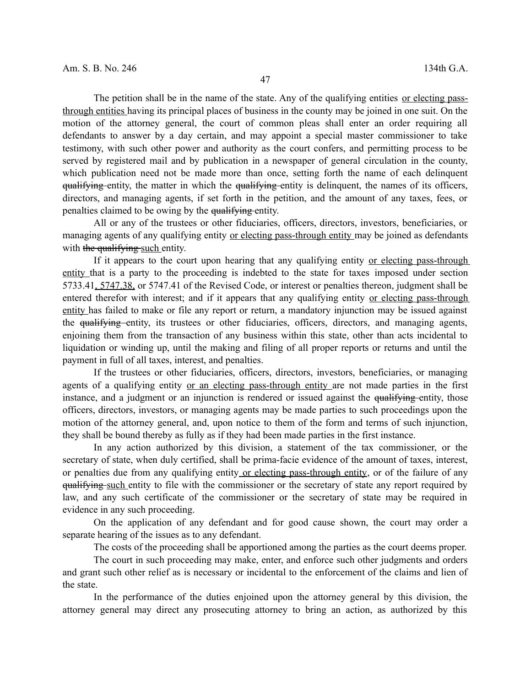The petition shall be in the name of the state. Any of the qualifying entities or electing passthrough entities having its principal places of business in the county may be joined in one suit. On the motion of the attorney general, the court of common pleas shall enter an order requiring all defendants to answer by a day certain, and may appoint a special master commissioner to take testimony, with such other power and authority as the court confers, and permitting process to be served by registered mail and by publication in a newspaper of general circulation in the county, which publication need not be made more than once, setting forth the name of each delinquent qualifying entity, the matter in which the qualifying entity is delinquent, the names of its officers, directors, and managing agents, if set forth in the petition, and the amount of any taxes, fees, or penalties claimed to be owing by the qualifying entity.

All or any of the trustees or other fiduciaries, officers, directors, investors, beneficiaries, or managing agents of any qualifying entity or electing pass-through entity may be joined as defendants with the qualifying such entity.

If it appears to the court upon hearing that any qualifying entity or electing pass-through entity that is a party to the proceeding is indebted to the state for taxes imposed under section 5733.41, 5747.38, or 5747.41 of the Revised Code, or interest or penalties thereon, judgment shall be entered therefor with interest; and if it appears that any qualifying entity or electing pass-through entity has failed to make or file any report or return, a mandatory injunction may be issued against the qualifying entity, its trustees or other fiduciaries, officers, directors, and managing agents, enjoining them from the transaction of any business within this state, other than acts incidental to liquidation or winding up, until the making and filing of all proper reports or returns and until the payment in full of all taxes, interest, and penalties.

If the trustees or other fiduciaries, officers, directors, investors, beneficiaries, or managing agents of a qualifying entity <u>or an electing pass-through entity</u> are not made parties in the first instance, and a judgment or an injunction is rendered or issued against the qualifying entity, those officers, directors, investors, or managing agents may be made parties to such proceedings upon the motion of the attorney general, and, upon notice to them of the form and terms of such injunction, they shall be bound thereby as fully as if they had been made parties in the first instance.

In any action authorized by this division, a statement of the tax commissioner, or the secretary of state, when duly certified, shall be prima-facie evidence of the amount of taxes, interest, or penalties due from any qualifying entity or electing pass-through entity, or of the failure of any qualifying such entity to file with the commissioner or the secretary of state any report required by law, and any such certificate of the commissioner or the secretary of state may be required in evidence in any such proceeding.

On the application of any defendant and for good cause shown, the court may order a separate hearing of the issues as to any defendant.

The costs of the proceeding shall be apportioned among the parties as the court deems proper.

The court in such proceeding may make, enter, and enforce such other judgments and orders and grant such other relief as is necessary or incidental to the enforcement of the claims and lien of the state.

In the performance of the duties enjoined upon the attorney general by this division, the attorney general may direct any prosecuting attorney to bring an action, as authorized by this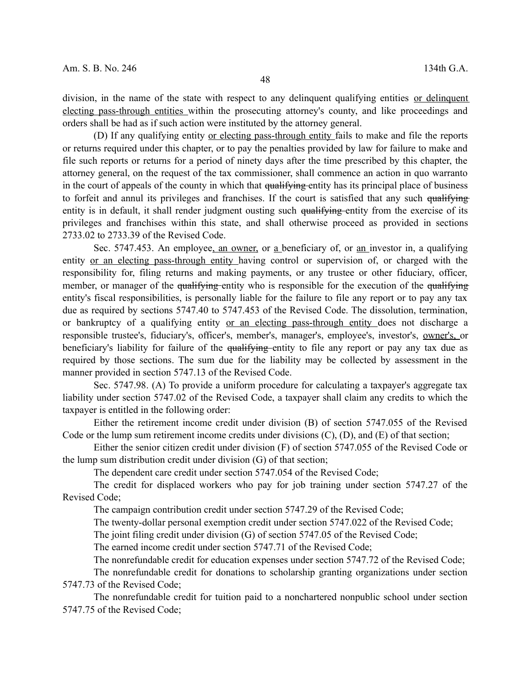division, in the name of the state with respect to any delinquent qualifying entities or delinquent electing pass-through entities within the prosecuting attorney's county, and like proceedings and orders shall be had as if such action were instituted by the attorney general.

(D) If any qualifying entity or electing pass-through entity fails to make and file the reports or returns required under this chapter, or to pay the penalties provided by law for failure to make and file such reports or returns for a period of ninety days after the time prescribed by this chapter, the attorney general, on the request of the tax commissioner, shall commence an action in quo warranto in the court of appeals of the county in which that qualifying entity has its principal place of business to forfeit and annul its privileges and franchises. If the court is satisfied that any such qualifying entity is in default, it shall render judgment ousting such qualifying entity from the exercise of its privileges and franchises within this state, and shall otherwise proceed as provided in sections 2733.02 to 2733.39 of the Revised Code.

Sec. 5747.453. An employee, an owner, or a beneficiary of, or an investor in, a qualifying entity or an electing pass-through entity having control or supervision of, or charged with the responsibility for, filing returns and making payments, or any trustee or other fiduciary, officer, member, or manager of the qualifying entity who is responsible for the execution of the qualifying entity's fiscal responsibilities, is personally liable for the failure to file any report or to pay any tax due as required by sections 5747.40 to 5747.453 of the Revised Code. The dissolution, termination, or bankruptcy of a qualifying entity or an electing pass-through entity does not discharge a responsible trustee's, fiduciary's, officer's, member's, manager's, employee's, investor's, owner's, or beneficiary's liability for failure of the qualifying entity to file any report or pay any tax due as required by those sections. The sum due for the liability may be collected by assessment in the manner provided in section 5747.13 of the Revised Code.

Sec. 5747.98. (A) To provide a uniform procedure for calculating a taxpayer's aggregate tax liability under section 5747.02 of the Revised Code, a taxpayer shall claim any credits to which the taxpayer is entitled in the following order:

Either the retirement income credit under division (B) of section 5747.055 of the Revised Code or the lump sum retirement income credits under divisions (C), (D), and (E) of that section;

Either the senior citizen credit under division (F) of section 5747.055 of the Revised Code or the lump sum distribution credit under division (G) of that section;

The dependent care credit under section 5747.054 of the Revised Code;

The credit for displaced workers who pay for job training under section 5747.27 of the Revised Code;

The campaign contribution credit under section 5747.29 of the Revised Code;

The twenty-dollar personal exemption credit under section 5747.022 of the Revised Code;

The joint filing credit under division (G) of section 5747.05 of the Revised Code;

The earned income credit under section 5747.71 of the Revised Code;

The nonrefundable credit for education expenses under section 5747.72 of the Revised Code;

The nonrefundable credit for donations to scholarship granting organizations under section 5747.73 of the Revised Code;

The nonrefundable credit for tuition paid to a nonchartered nonpublic school under section 5747.75 of the Revised Code;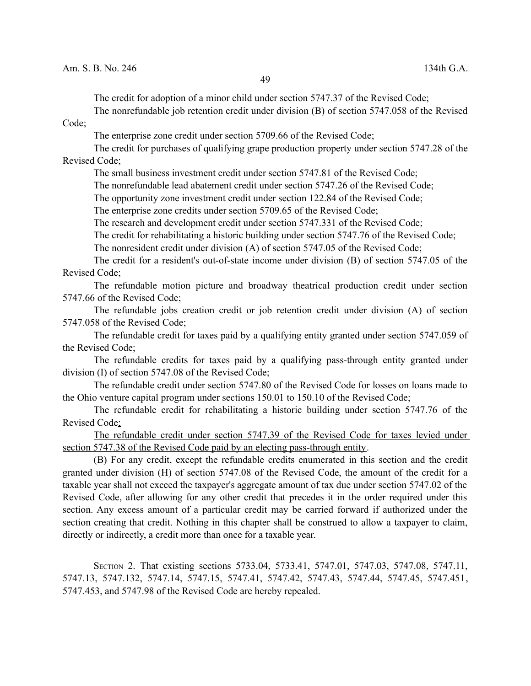The credit for adoption of a minor child under section 5747.37 of the Revised Code;

The nonrefundable job retention credit under division (B) of section 5747.058 of the Revised

Code;

The enterprise zone credit under section 5709.66 of the Revised Code;

The credit for purchases of qualifying grape production property under section 5747.28 of the Revised Code;

The small business investment credit under section 5747.81 of the Revised Code;

The nonrefundable lead abatement credit under section 5747.26 of the Revised Code;

The opportunity zone investment credit under section 122.84 of the Revised Code;

The enterprise zone credits under section 5709.65 of the Revised Code;

The research and development credit under section 5747.331 of the Revised Code;

The credit for rehabilitating a historic building under section 5747.76 of the Revised Code;

The nonresident credit under division (A) of section 5747.05 of the Revised Code;

The credit for a resident's out-of-state income under division (B) of section 5747.05 of the Revised Code;

The refundable motion picture and broadway theatrical production credit under section 5747.66 of the Revised Code;

The refundable jobs creation credit or job retention credit under division (A) of section 5747.058 of the Revised Code;

The refundable credit for taxes paid by a qualifying entity granted under section 5747.059 of the Revised Code;

The refundable credits for taxes paid by a qualifying pass-through entity granted under division (I) of section 5747.08 of the Revised Code;

The refundable credit under section 5747.80 of the Revised Code for losses on loans made to the Ohio venture capital program under sections 150.01 to 150.10 of the Revised Code;

The refundable credit for rehabilitating a historic building under section 5747.76 of the Revised Code;

The refundable credit under section 5747.39 of the Revised Code for taxes levied under section 5747.38 of the Revised Code paid by an electing pass-through entity.

(B) For any credit, except the refundable credits enumerated in this section and the credit granted under division (H) of section 5747.08 of the Revised Code, the amount of the credit for a taxable year shall not exceed the taxpayer's aggregate amount of tax due under section 5747.02 of the Revised Code, after allowing for any other credit that precedes it in the order required under this section. Any excess amount of a particular credit may be carried forward if authorized under the section creating that credit. Nothing in this chapter shall be construed to allow a taxpayer to claim, directly or indirectly, a credit more than once for a taxable year.

SECTION 2. That existing sections 5733.04, 5733.41, 5747.01, 5747.03, 5747.08, 5747.11, 5747.13, 5747.132, 5747.14, 5747.15, 5747.41, 5747.42, 5747.43, 5747.44, 5747.45, 5747.451, 5747.453, and 5747.98 of the Revised Code are hereby repealed.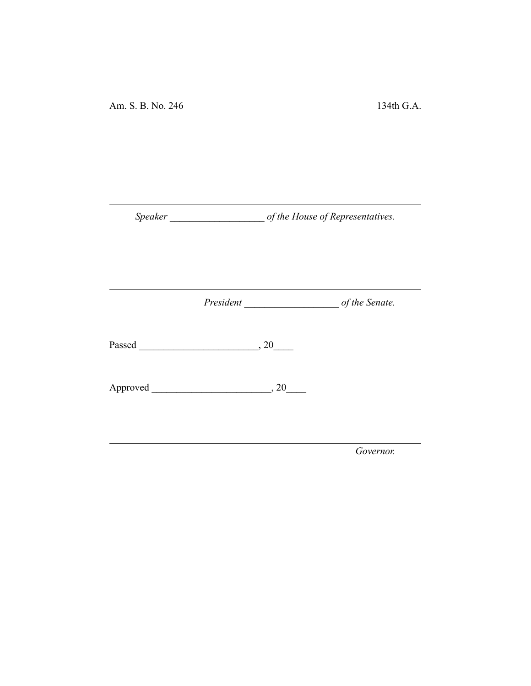*Speaker \_\_\_\_\_\_\_\_\_\_\_\_\_\_\_\_\_\_\_ of the House of Representatives.*

*President \_\_\_\_\_\_\_\_\_\_\_\_\_\_\_\_\_\_\_ of the Senate.*

Passed \_\_\_\_\_\_\_\_\_\_\_\_\_\_\_\_\_\_\_\_\_\_\_\_, 20\_\_\_\_

Approved \_\_\_\_\_\_\_\_\_\_\_\_\_\_\_\_\_\_\_\_\_\_\_\_, 20\_\_\_\_

*Governor.*